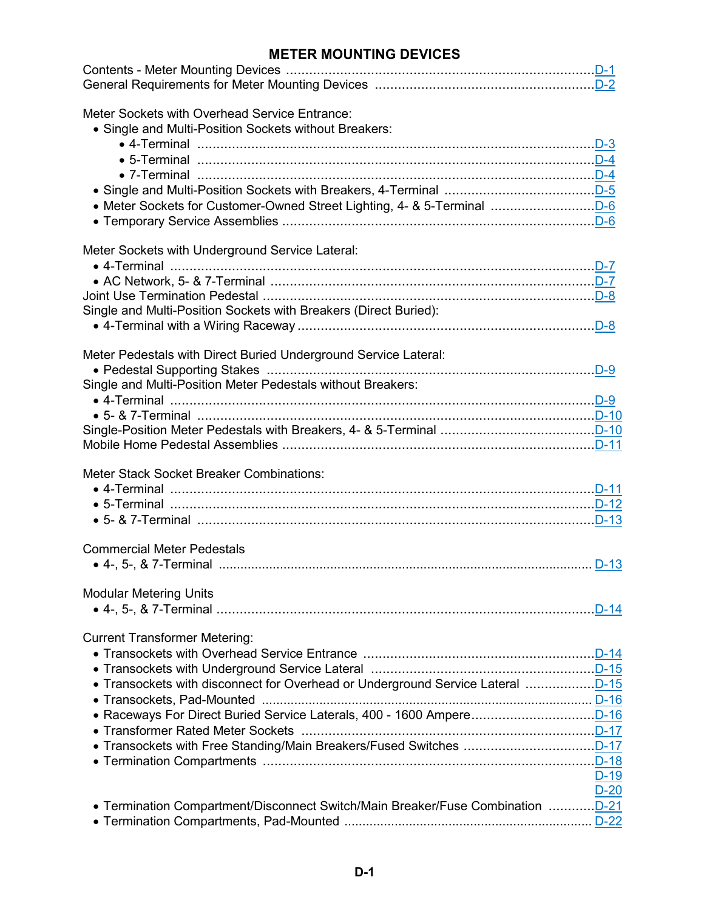## **METER MOUNTING DEVICES**

| Meter Sockets with Overhead Service Entrance:<br>• Single and Multi-Position Sockets without Breakers:                         |        |
|--------------------------------------------------------------------------------------------------------------------------------|--------|
| Meter Sockets with Underground Service Lateral:<br>Single and Multi-Position Sockets with Breakers (Direct Buried):            |        |
| Meter Pedestals with Direct Buried Underground Service Lateral:<br>Single and Multi-Position Meter Pedestals without Breakers: |        |
| Meter Stack Socket Breaker Combinations:                                                                                       |        |
| <b>Commercial Meter Pedestals</b><br>• 4-, 5-, & 7-Terminal ………………………………………………………………………………………… D-13                            |        |
| <b>Modular Metering Units</b>                                                                                                  |        |
| <b>Current Transformer Metering:</b><br>• Transockets with Underground Service Lateral manumanan manumananomento D-15          | $D-19$ |
| • Termination Compartment/Disconnect Switch/Main Breaker/Fuse Combination  D-21                                                | $D-20$ |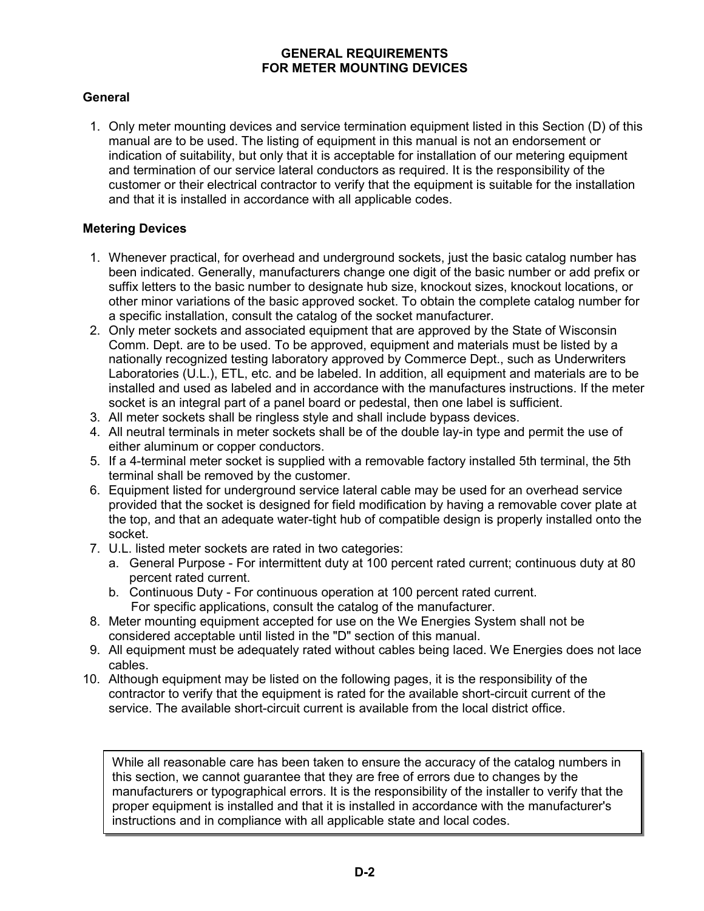#### **GENERAL REQUIREMENTS FOR METER MOUNTING DEVICES**

## <span id="page-1-0"></span>**General**

 1. Only meter mounting devices and service termination equipment listed in this Section (D) of this manual are to be used. The listing of equipment in this manual is not an endorsement or indication of suitability, but only that it is acceptable for installation of our metering equipment and termination of our service lateral conductors as required. It is the responsibility of the customer or their electrical contractor to verify that the equipment is suitable for the installation and that it is installed in accordance with all applicable codes.

#### **Metering Devices**

- 1. Whenever practical, for overhead and underground sockets, just the basic catalog number has been indicated. Generally, manufacturers change one digit of the basic number or add prefix or suffix letters to the basic number to designate hub size, knockout sizes, knockout locations, or other minor variations of the basic approved socket. To obtain the complete catalog number for a specific installation, consult the catalog of the socket manufacturer.
- 2. Only meter sockets and associated equipment that are approved by the State of Wisconsin Comm. Dept. are to be used. To be approved, equipment and materials must be listed by a nationally recognized testing laboratory approved by Commerce Dept., such as Underwriters Laboratories (U.L.), ETL, etc. and be labeled. In addition, all equipment and materials are to be installed and used as labeled and in accordance with the manufactures instructions. If the meter socket is an integral part of a panel board or pedestal, then one label is sufficient.
- 3. All meter sockets shall be ringless style and shall include bypass devices.
- 4. All neutral terminals in meter sockets shall be of the double lay-in type and permit the use of either aluminum or copper conductors.
- 5. If a 4-terminal meter socket is supplied with a removable factory installed 5th terminal, the 5th terminal shall be removed by the customer.
- 6. Equipment listed for underground service lateral cable may be used for an overhead service provided that the socket is designed for field modification by having a removable cover plate at the top, and that an adequate water-tight hub of compatible design is properly installed onto the socket.
- 7. U.L. listed meter sockets are rated in two categories:
	- a. General Purpose For intermittent duty at 100 percent rated current; continuous duty at 80 percent rated current.
	- b. Continuous Duty For continuous operation at 100 percent rated current. For specific applications, consult the catalog of the manufacturer.
- 8. Meter mounting equipment accepted for use on the We Energies System shall not be considered acceptable until listed in the "D" section of this manual.
- 9. All equipment must be adequately rated without cables being laced. We Energies does not lace cables.
- 10. Although equipment may be listed on the following pages, it is the responsibility of the contractor to verify that the equipment is rated for the available short-circuit current of the service. The available short-circuit current is available from the local district office.

While all reasonable care has been taken to ensure the accuracy of the catalog numbers in this section, we cannot guarantee that they are free of errors due to changes by the manufacturers or typographical errors. It is the responsibility of the installer to verify that the proper equipment is installed and that it is installed in accordance with the manufacturer's instructions and in compliance with all applicable state and local codes.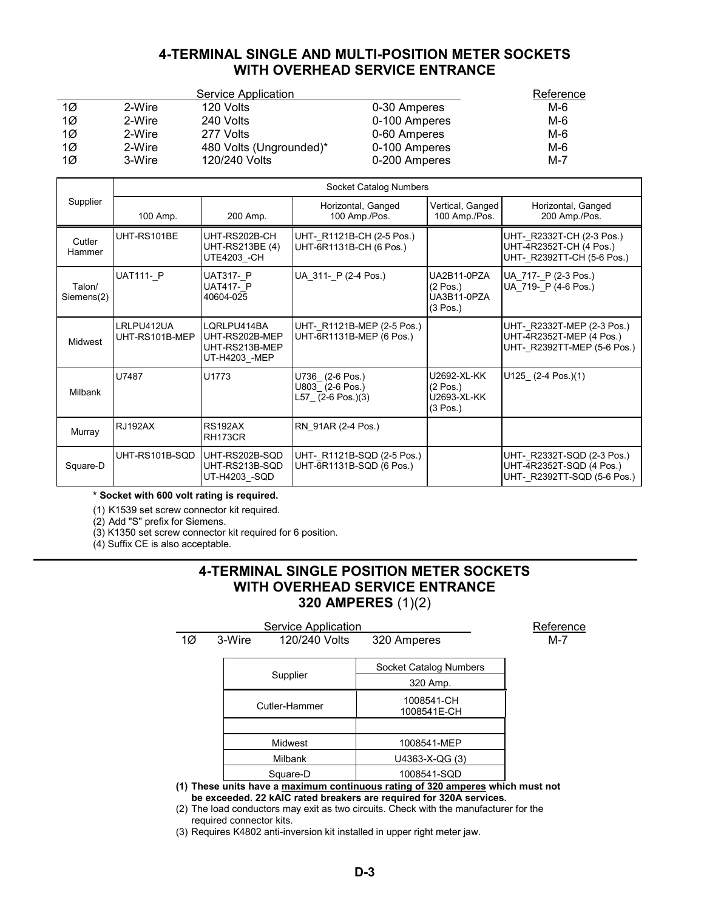## **4-TERMINAL SINGLE AND MULTI-POSITION METER SOCKETS WITH OVERHEAD SERVICE ENTRANCE**

<span id="page-2-0"></span>

|           |        | Service Application     |               | Reference |
|-----------|--------|-------------------------|---------------|-----------|
| $1\alpha$ | 2-Wire | 120 Volts               | 0-30 Amperes  | M-6       |
| 10        | 2-Wire | 240 Volts               | 0-100 Amperes | M-6       |
| 10        | 2-Wire | 277 Volts               | 0-60 Amperes  | M-6       |
| $1\alpha$ | 2-Wire | 480 Volts (Ungrounded)* | 0-100 Amperes | M-6       |
| $1\sigma$ | 3-Wire | 120/240 Volts           | 0-200 Amperes | $M-7$     |

|                      | Socket Catalog Numbers       |                                                                  |                                                           |                                                              |                                                                                       |
|----------------------|------------------------------|------------------------------------------------------------------|-----------------------------------------------------------|--------------------------------------------------------------|---------------------------------------------------------------------------------------|
| Supplier             | 100 Amp.                     | 200 Amp.                                                         | Horizontal, Ganged<br>100 Amp./Pos.                       | Vertical, Ganged<br>100 Amp./Pos.                            | Horizontal, Ganged<br>200 Amp./Pos.                                                   |
| Cutler<br>Hammer     | UHT-RS101BE                  | UHT-RS202B-CH<br>UHT-RS213BE (4)<br>UTE4203 - CH                 | UHT- R1121B-CH (2-5 Pos.)<br>UHT-6R1131B-CH (6 Pos.)      |                                                              | UHT- R2332T-CH (2-3 Pos.)<br>UHT-4R2352T-CH (4 Pos.)<br>UHT- R2392TT-CH (5-6 Pos.)    |
| Talon/<br>Siemens(2) | <b>UAT111- P</b>             | <b>UAT317- P</b><br>UAT417- P<br>40604-025                       | UA 311- P (2-4 Pos.)                                      | UA2B11-0PZA<br>$(2 \text{ Pos.})$<br>UA3B11-0PZA<br>(3 Pos.) | UA 717- P (2-3 Pos.)<br>UA 719- P (4-6 Pos.)                                          |
| <b>Midwest</b>       | LRLPU412UA<br>UHT-RS101B-MEP | LQRLPU414BA<br>UHT-RS202B-MEP<br>UHT-RS213B-MEP<br>UT-H4203 -MEP | UHT- R1121B-MEP (2-5 Pos.)<br>UHT-6R1131B-MEP (6 Pos.)    |                                                              | UHT- R2332T-MEP (2-3 Pos.)<br>UHT-4R2352T-MEP (4 Pos.)<br>UHT- R2392TT-MEP (5-6 Pos.) |
| Milbank              | U7487                        | U1773                                                            | U736 (2-6 Pos.)<br>U803 (2-6 Pos.)<br>$L57$ (2-6 Pos.)(3) | U2692-XL-KK<br>(2 Pos.)<br>U2693-XL-KK<br>$(3 \text{ Pos.})$ | $U125$ (2-4 Pos.)(1)                                                                  |
| Murray               | <b>RJ192AX</b>               | <b>RS192AX</b><br>RH173CR                                        | RN 91AR (2-4 Pos.)                                        |                                                              |                                                                                       |
| Square-D             | UHT-RS101B-SQD               | UHT-RS202B-SQD<br>UHT-RS213B-SQD<br>UT-H4203 -SQD                | UHT- R1121B-SQD (2-5 Pos.)<br>UHT-6R1131B-SQD (6 Pos.)    |                                                              | UHT- R2332T-SQD (2-3 Pos.)<br>UHT-4R2352T-SQD (4 Pos.)<br>UHT- R2392TT-SQD (5-6 Pos.) |

**\* Socket with 600 volt rating is required.**

(1) K1539 set screw connector kit required.

(2) Add "S" prefix for Siemens.

(3) K1350 set screw connector kit required for 6 position.

(4) Suffix CE is also acceptable.

## **4-TERMINAL SINGLE POSITION METER SOCKETS WITH OVERHEAD SERVICE ENTRANCE 320 AMPERES** (1)(2)

|    |               | Service Application |                           | Reference |
|----|---------------|---------------------|---------------------------|-----------|
| 1Ø | 3-Wire        | 120/240 Volts       | 320 Amperes               | $M - 7$   |
|    |               |                     | Socket Catalog Numbers    |           |
|    |               | Supplier            | 320 Amp.                  |           |
|    | Cutler-Hammer |                     | 1008541-CH<br>1008541E-CH |           |
|    |               |                     |                           |           |
|    |               | Midwest             | 1008541-MEP               |           |
|    |               | <b>Milbank</b>      | U4363-X-QG (3)            |           |
|    |               | Square-D            | 1008541-SQD               |           |

**(1) These units have a maximum continuous rating of 320 amperes which must not be exceeded. 22 kAIC rated breakers are required for 320A services.**

(2) The load conductors may exit as two circuits. Check with the manufacturer for the required connector kits.

(3) Requires K4802 anti-inversion kit installed in upper right meter jaw.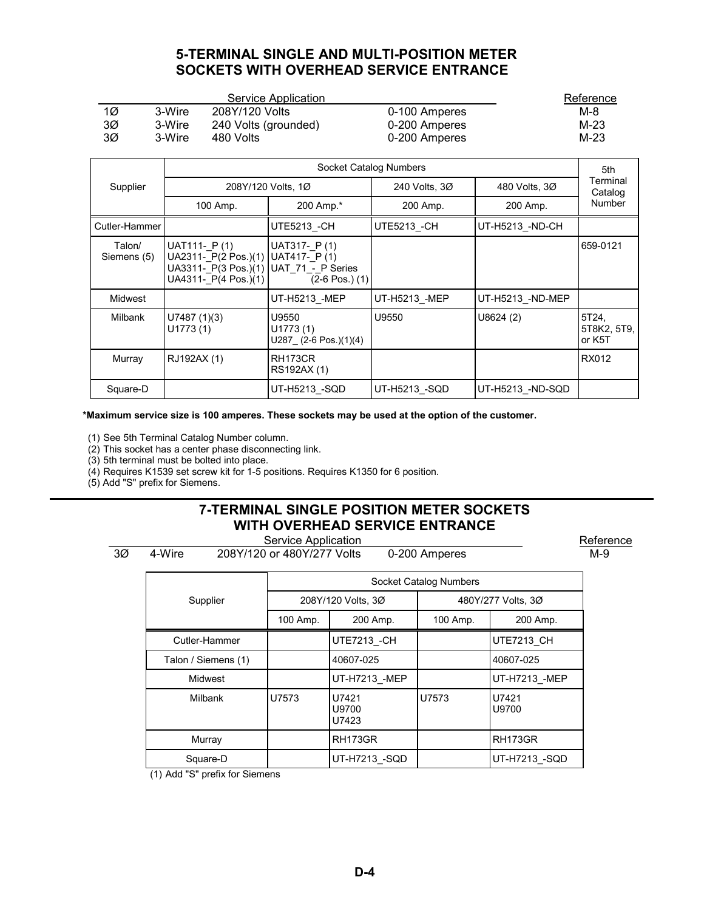## **5-TERMINAL SINGLE AND MULTI-POSITION METER SOCKETS WITH OVERHEAD SERVICE ENTRANCE**

<span id="page-3-0"></span>

|    |        | Service Application  |               | Reference |
|----|--------|----------------------|---------------|-----------|
| 1Ø | 3-Wire | 208Y/120 Volts       | 0-100 Amperes | M-8       |
| 3Ø | 3-Wire | 240 Volts (grounded) | 0-200 Amperes | M-23      |
| 3Ø | 3-Wire | 480 Volts            | 0-200 Amperes | M-23      |

|                       | Socket Catalog Numbers                                                               |                                                                        |                     |                  |                                |  |
|-----------------------|--------------------------------------------------------------------------------------|------------------------------------------------------------------------|---------------------|------------------|--------------------------------|--|
| Supplier              | 208Y/120 Volts, 1Ø                                                                   |                                                                        | 240 Volts, 30       | 480 Volts, 3Ø    | Terminal<br>Catalog            |  |
|                       | 100 Amp.                                                                             | 200 Amp.*                                                              | 200 Amp.            | 200 Amp.         | Number                         |  |
| Cutler-Hammer         |                                                                                      | UTE5213 -CH                                                            | <b>UTE5213 - CH</b> | UT-H5213 -ND-CH  |                                |  |
| Talon/<br>Siemens (5) | UAT111- P(1)<br>UA2311- P(2 Pos.)(1)<br>UA3311- P(3 Pos.)(1)<br>UA4311- P(4 Pos.)(1) | UAT317- P(1)<br>UAT417-P(1)<br>UAT 71 - P Series<br>$(2-6$ Pos. $)(1)$ |                     |                  | 659-0121                       |  |
| Midwest               |                                                                                      | UT-H5213 -MEP                                                          | UT-H5213 -MEP       | UT-H5213 -ND-MEP |                                |  |
| Milbank               | U7487(1)(3)<br>U1773(1)                                                              | U9550<br>U1773(1)<br>$U287$ (2-6 Pos.)(1)(4)                           | U9550               | U8624(2)         | 5T24,<br>5T8K2, 5T9,<br>or K5T |  |
| Murray                | RJ192AX (1)                                                                          | RH173CR<br>RS192AX (1)                                                 |                     |                  | RX012                          |  |
| Square-D              |                                                                                      | UT-H5213 -SQD                                                          | UT-H5213_-SQD       | UT-H5213 -ND-SQD |                                |  |

**\*Maximum service size is 100 amperes. These sockets may be used at the option of the customer.**

(1) See 5th Terminal Catalog Number column.

(2) This socket has a center phase disconnecting link.

(3) 5th terminal must be bolted into place.

(4) Requires K1539 set screw kit for 1-5 positions. Requires K1350 for 6 position.

(5) Add "S" prefix for Siemens.

# **7-TERMINAL SINGLE POSITION METER SOCKETS WITH OVERHEAD SERVICE ENTRANCE**

| Reference<br>Service Application                            |                     |          |                         |                        |                    |  |
|-------------------------------------------------------------|---------------------|----------|-------------------------|------------------------|--------------------|--|
| 3Ø<br>4-Wire<br>208Y/120 or 480Y/277 Volts<br>0-200 Amperes |                     |          |                         |                        |                    |  |
|                                                             |                     |          |                         | Socket Catalog Numbers |                    |  |
|                                                             | Supplier            |          | 208Y/120 Volts, 3Ø      |                        | 480Y/277 Volts, 3Ø |  |
|                                                             |                     | 100 Amp. | 200 Amp.                | 100 Amp.               | 200 Amp.           |  |
|                                                             | Cutler-Hammer       |          | <b>UTE7213 - CH</b>     |                        | <b>UTE7213 CH</b>  |  |
|                                                             | Talon / Siemens (1) |          | 40607-025               |                        | 40607-025          |  |
|                                                             | Midwest             |          | UT-H7213 -MEP           |                        | UT-H7213 -MEP      |  |
|                                                             | Milbank             | U7573    | U7421<br>U9700<br>U7423 | U7573                  | U7421<br>U9700     |  |
|                                                             | Murray              |          | RH173GR                 |                        | RH173GR            |  |
|                                                             | Square-D            |          | UT-H7213_-SQD           |                        | UT-H7213 -SQD      |  |

(1) Add "S" prefix for Siemens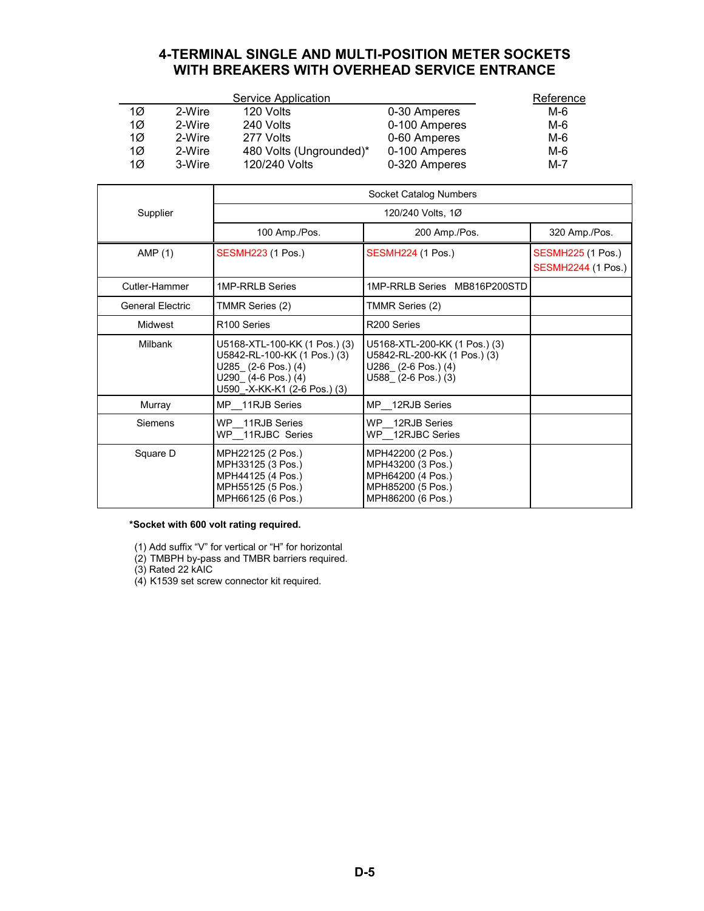## **4-TERMINAL SINGLE AND MULTI-POSITION METER SOCKETS WITH BREAKERS WITH OVERHEAD SERVICE ENTRANCE**

<span id="page-4-0"></span>

|    |        | Service Application     |               | Reference |
|----|--------|-------------------------|---------------|-----------|
| 1Ø | 2-Wire | 120 Volts               | 0-30 Amperes  | M-6       |
| 1Ø | 2-Wire | 240 Volts               | 0-100 Amperes | M-6       |
| 1Ø | 2-Wire | 277 Volts               | 0-60 Amperes  | M-6       |
| 1Ø | 2-Wire | 480 Volts (Ungrounded)* | 0-100 Amperes | M-6       |
| 1Ø | 3-Wire | 120/240 Volts           | 0-320 Amperes | $M - 7$   |

|                         | Socket Catalog Numbers                                                                                                                            |                                                                                                             |                                                       |  |
|-------------------------|---------------------------------------------------------------------------------------------------------------------------------------------------|-------------------------------------------------------------------------------------------------------------|-------------------------------------------------------|--|
| Supplier                |                                                                                                                                                   | 120/240 Volts, 1Ø                                                                                           |                                                       |  |
|                         | 100 Amp./Pos.                                                                                                                                     | 200 Amp./Pos.                                                                                               | 320 Amp./Pos.                                         |  |
| AMP $(1)$               | <b>SESMH223 (1 Pos.)</b>                                                                                                                          | <b>SESMH224 (1 Pos.)</b>                                                                                    | <b>SESMH225 (1 Pos.)</b><br><b>SESMH2244 (1 Pos.)</b> |  |
| Cutler-Hammer           | 1MP-RRLB Series                                                                                                                                   | 1MP-RRLB Series MB816P200STD                                                                                |                                                       |  |
| <b>General Electric</b> | TMMR Series (2)                                                                                                                                   | TMMR Series (2)                                                                                             |                                                       |  |
| Midwest                 | R <sub>100</sub> Series                                                                                                                           | R <sub>200</sub> Series                                                                                     |                                                       |  |
| Milbank                 | U5168-XTL-100-KK (1 Pos.) (3)<br>U5842-RL-100-KK (1 Pos.) (3)<br>U285 (2-6 Pos.) (4)<br>$U290$ $(4-6$ Pos.) $(4)$<br>U590_-X-KK-K1 (2-6 Pos.) (3) | U5168-XTL-200-KK (1 Pos.) (3)<br>U5842-RL-200-KK (1 Pos.) (3)<br>U286 (2-6 Pos.) (4)<br>U588 (2-6 Pos.) (3) |                                                       |  |
| Murray                  | MP 11RJB Series                                                                                                                                   | MP 12RJB Series                                                                                             |                                                       |  |
| Siemens                 | WP 11RJB Series<br>WP 11RJBC Series                                                                                                               | WP 12RJB Series<br>WP 12RJBC Series                                                                         |                                                       |  |
| Square D                | MPH22125 (2 Pos.)<br>MPH33125 (3 Pos.)<br>MPH44125 (4 Pos.)<br>MPH55125 (5 Pos.)<br>MPH66125 (6 Pos.)                                             | MPH42200 (2 Pos.)<br>MPH43200 (3 Pos.)<br>MPH64200 (4 Pos.)<br>MPH85200 (5 Pos.)<br>MPH86200 (6 Pos.)       |                                                       |  |

#### **\*Socket with 600 volt rating required.**

(1) Add suffix "V" for vertical or "H" for horizontal

(2) TMBPH by-pass and TMBR barriers required.

(3) Rated 22 kAIC

(4) K1539 set screw connector kit required.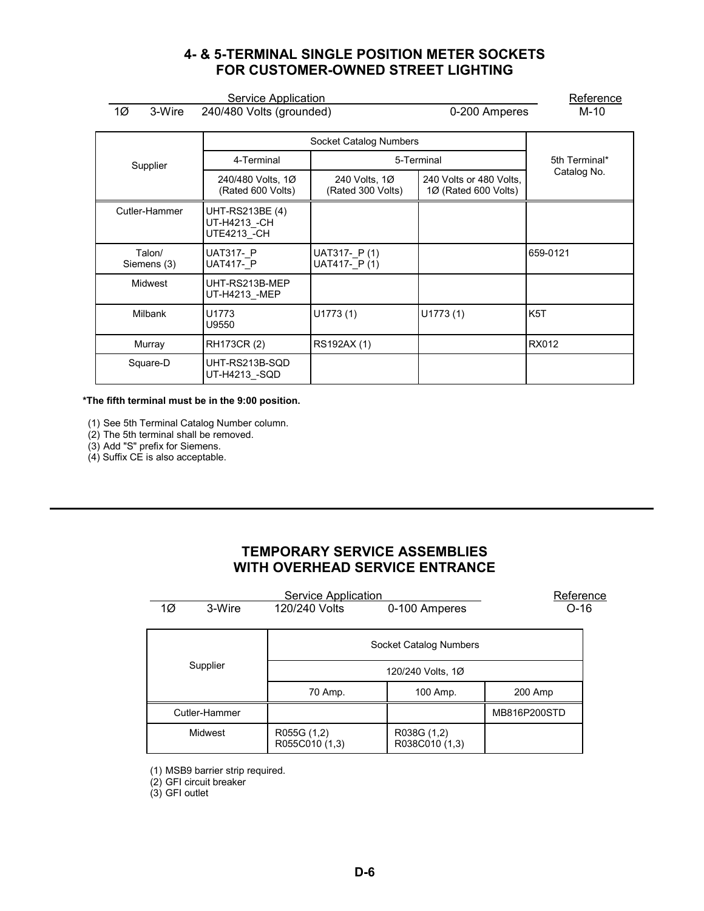## **4- & 5-TERMINAL SINGLE POSITION METER SOCKETS FOR CUSTOMER-OWNED STREET LIGHTING**

<span id="page-5-0"></span>

| 1Ø<br>3-Wire          | Service Application                            |                                    |                                                 |                  |
|-----------------------|------------------------------------------------|------------------------------------|-------------------------------------------------|------------------|
|                       | 240/480 Volts (grounded)                       |                                    | 0-200 Amperes                                   | M-10             |
|                       |                                                | Socket Catalog Numbers             |                                                 |                  |
| Supplier              | 4-Terminal                                     |                                    | 5-Terminal                                      | 5th Terminal*    |
|                       | 240/480 Volts, 1Ø<br>(Rated 600 Volts)         | 240 Volts, 1Ø<br>(Rated 300 Volts) | 240 Volts or 480 Volts,<br>1Ø (Rated 600 Volts) | Catalog No.      |
| Cutler-Hammer         | UHT-RS213BE (4)<br>UT-H4213_-CH<br>UTE4213 -CH |                                    |                                                 |                  |
| Talon/<br>Siemens (3) | <b>UAT317- P</b><br><b>UAT417- P</b>           | UAT317-P(1)<br>UAT417- P (1)       |                                                 | 659-0121         |
| Midwest               | UHT-RS213B-MEP<br>UT-H4213 -MEP                |                                    |                                                 |                  |
| <b>Milbank</b>        | U1773<br>U9550                                 | U1773(1)                           | U1773(1)                                        | K <sub>5</sub> T |
| Murray                | RH173CR (2)                                    | RS192AX (1)                        |                                                 | <b>RX012</b>     |
| Square-D              | UHT-RS213B-SQD<br>UT-H4213 -SQD                |                                    |                                                 |                  |

**\*The fifth terminal must be in the 9:00 position.**

(1) See 5th Terminal Catalog Number column.

(2) The 5th terminal shall be removed.

(3) Add "S" prefix for Siemens.

 $(4)$  Suffix CE is also acceptable.

## **TEMPORARY SERVICE ASSEMBLIES WITH OVERHEAD SERVICE ENTRANCE**

| Service Application |               |                               | Reference                     |              |  |
|---------------------|---------------|-------------------------------|-------------------------------|--------------|--|
| 1Ø                  | 3-Wire        | 120/240 Volts                 | 0-100 Amperes                 | $O-16$       |  |
|                     |               | Socket Catalog Numbers        |                               |              |  |
|                     | Supplier      | 120/240 Volts, 1Ø             |                               |              |  |
|                     |               | 70 Amp.                       | 100 Amp.                      | 200 Amp      |  |
|                     | Cutler-Hammer |                               |                               | MB816P200STD |  |
|                     | Midwest       | R055G (1,2)<br>R055C010 (1,3) | R038G (1,2)<br>R038C010 (1,3) |              |  |

(1) MSB9 barrier strip required.

(2) GFI circuit breaker

(3) GFI outlet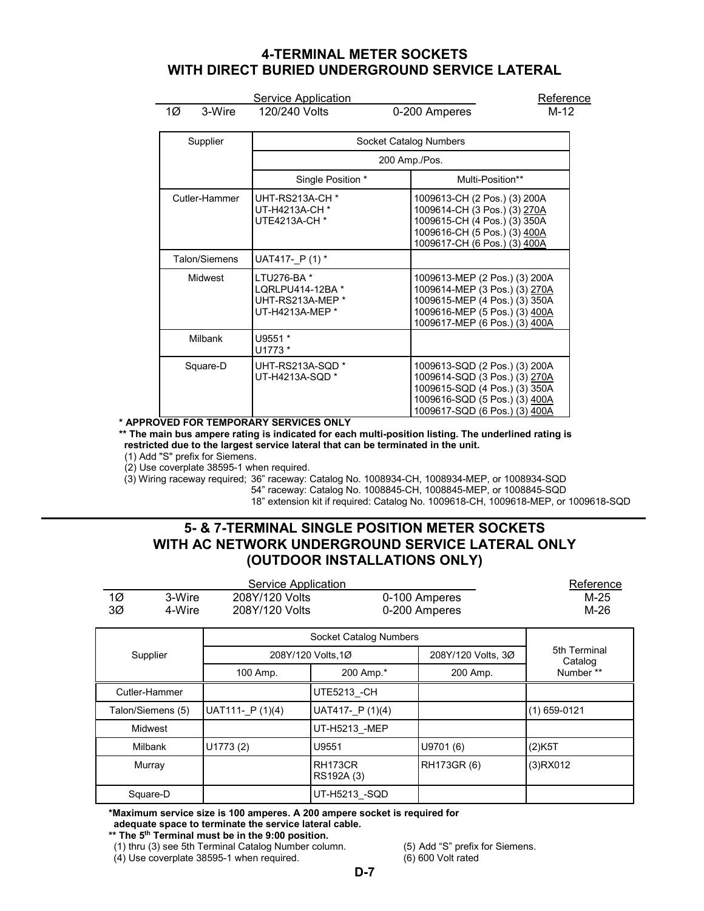## <span id="page-6-0"></span>**4-TERMINAL METER SOCKETS WITH DIRECT BURIED UNDERGROUND SERVICE LATERAL**

Service Application Reference

1Ø 3-Wire 120/240 Volts 0-200 Amperes

| Supplier       | Socket Catalog Numbers                                                |                                                                                                                                                                   |  |
|----------------|-----------------------------------------------------------------------|-------------------------------------------------------------------------------------------------------------------------------------------------------------------|--|
|                |                                                                       | 200 Amp./Pos.                                                                                                                                                     |  |
|                | Single Position *                                                     | Multi-Position**                                                                                                                                                  |  |
| Cutler-Hammer  | UHT-RS213A-CH *<br>UT-H4213A-CH <sup>*</sup><br>UTE4213A-CH *         | 1009613-CH (2 Pos.) (3) 200A<br>1009614-CH (3 Pos.) (3) 270A<br>1009615-CH (4 Pos.) (3) 350A<br>1009616-CH (5 Pos.) (3) 400A<br>1009617-CH (6 Pos.) (3) 400A      |  |
| Talon/Siemens  | UAT417- P(1)*                                                         |                                                                                                                                                                   |  |
| <b>Midwest</b> | LTU276-BA*<br>LQRLPU414-12BA *<br>UHT-RS213A-MEP *<br>UT-H4213A-MEP * | 1009613-MEP (2 Pos.) (3) 200A<br>1009614-MEP (3 Pos.) (3) 270A<br>1009615-MEP (4 Pos.) (3) 350A<br>1009616-MEP (5 Pos.) (3) 400A<br>1009617-MEP (6 Pos.) (3) 400A |  |
| <b>Milbank</b> | U9551 *<br>U1773 *                                                    |                                                                                                                                                                   |  |
| Square-D       | UHT-RS213A-SQD *<br>UT-H4213A-SQD *                                   | 1009613-SQD (2 Pos.) (3) 200A<br>1009614-SQD (3 Pos.) (3) 270A<br>1009615-SQD (4 Pos.) (3) 350A<br>1009616-SQD (5 Pos.) (3) 400A<br>1009617-SQD (6 Pos.) (3) 400A |  |

#### **\* APPROVED FOR TEMPORARY SERVICES ONLY**

**\*\* The main bus ampere rating is indicated for each multi-position listing. The underlined rating is restricted due to the largest service lateral that can be terminated in the unit.**

(1) Add "S" prefix for Siemens.

(2) Use coverplate 38595-1 when required.

(3) Wiring raceway required; 36" raceway: Catalog No. 1008934-CH, 1008934-MEP, or 1008934-SQD

54" raceway: Catalog No. 1008845-CH, 1008845-MEP, or 1008845-SQD

18" extension kit if required: Catalog No. 1009618-CH, 1009618-MEP, or 1009618-SQD

## **5- & 7-TERMINAL SINGLE POSITION METER SOCKETS WITH AC NETWORK UNDERGROUND SERVICE LATERAL ONLY (OUTDOOR INSTALLATIONS ONLY)**

|                | Reference         |                        |                       |                    |                         |
|----------------|-------------------|------------------------|-----------------------|--------------------|-------------------------|
| $1\varnothing$ | 3-Wire            | 208Y/120 Volts         |                       | 0-100 Amperes      |                         |
| ЗØ             | 4-Wire            | 208Y/120 Volts         |                       | 0-200 Amperes      | $M-26$                  |
|                |                   | Socket Catalog Numbers |                       |                    |                         |
|                | Supplier          |                        | 208Y/120 Volts, 1Ø    | 208Y/120 Volts, 3Ø | 5th Terminal<br>Catalog |
|                |                   | 100 Amp.               | 200 Amp.*             | 200 Amp.           | Number **               |
|                | Cutler-Hammer     |                        | UTE5213 - CH          |                    |                         |
|                | Talon/Siemens (5) | UAT111- $P(1)(4)$      | UAT417- $P(1)(4)$     |                    | $(1)$ 659-0121          |
|                | <b>Midwest</b>    |                        | UT-H5213 -MEP         |                    |                         |
|                | <b>Milbank</b>    | U1773(2)               | U9551                 | U9701 (6)          | (2)K5T                  |
|                | Murray            |                        | RH173CR<br>RS192A (3) | RH173GR (6)        | $(3)$ RX012             |
|                | Square-D          |                        | UT-H5213 -SQD         |                    |                         |

**\*Maximum service size is 100 amperes. A 200 ampere socket is required for** 

**adequate space to terminate the service lateral cable.**

**\*\* The 5th Terminal must be in the 9:00 position.**

(1) thru (3) see 5th Terminal Catalog Number column. (5) Add "S" prefix for Siemens.<br>(4) Use coverplate 38595-1 when required. (6) 600 Volt rated

 $(4)$  Use coverplate 38595-1 when required.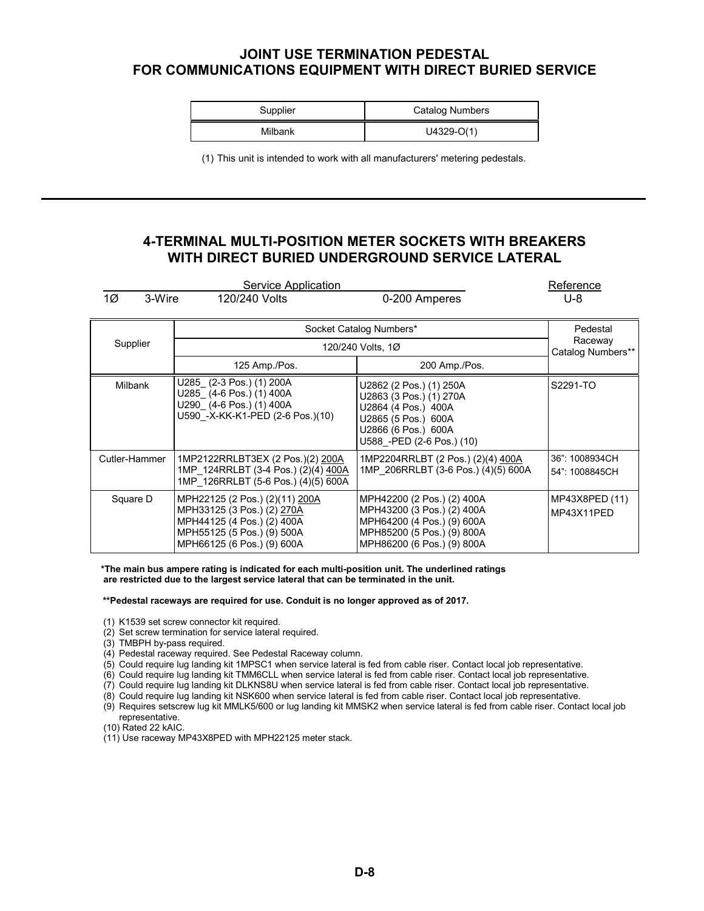## <span id="page-7-0"></span>**JOINT USE TERMINATION PEDESTAL FOR COMMUNICATIONS EQUIPMENT WITH DIRECT BURIED SERVICE**

| Supplier | Catalog Numbers |
|----------|-----------------|
| Milbank  | $U4329-O(1)$    |

(1) This unit is intended to work with all manufacturers' metering pedestals.

### **4-TERMINAL MULTI-POSITION METER SOCKETS WITH BREAKERS WITH DIRECT BURIED UNDERGROUND SERVICE LATERAL**

|               | Reference                                                                                                                                              |                                                                                                                                                       |                                  |  |
|---------------|--------------------------------------------------------------------------------------------------------------------------------------------------------|-------------------------------------------------------------------------------------------------------------------------------------------------------|----------------------------------|--|
| 1Ø<br>3-Wire  | 120/240 Volts                                                                                                                                          | 0-200 Amperes                                                                                                                                         | U-8                              |  |
|               |                                                                                                                                                        | Socket Catalog Numbers*                                                                                                                               | Pedestal                         |  |
| Supplier      |                                                                                                                                                        | 120/240 Volts, 1Ø                                                                                                                                     | Raceway<br>Catalog Numbers**     |  |
|               | 125 Amp./Pos.                                                                                                                                          | 200 Amp./Pos.                                                                                                                                         |                                  |  |
| Milbank       | U285 (2-3 Pos.) (1) 200A<br>U285 (4-6 Pos.) (1) 400A<br>U290 (4-6 Pos.) (1) 400A<br>U590 - X-KK-K1-PED (2-6 Pos.)(10)                                  | U2862 (2 Pos.) (1) 250A<br>U2863 (3 Pos.) (1) 270A<br>U2864 (4 Pos.) 400A<br>U2865 (5 Pos.) 600A<br>U2866 (6 Pos.) 600A<br>U588 - PED (2-6 Pos.) (10) | S2291-TO                         |  |
| Cutler-Hammer | 1MP2122RRLBT3EX (2 Pos.)(2) 200A<br>1MP 124RRLBT (3-4 Pos.) (2)(4) 400A<br>1MP 126RRLBT (5-6 Pos.) (4)(5) 600A                                         | 1MP2204RRLBT (2 Pos.) (2)(4) 400A<br>1MP 206RRLBT (3-6 Pos.) (4)(5) 600A                                                                              | 36": 1008934CH<br>54": 1008845CH |  |
| Square D      | MPH22125 (2 Pos.) (2)(11) 200A<br>MPH33125 (3 Pos.) (2) 270A<br>MPH44125 (4 Pos.) (2) 400A<br>MPH55125 (5 Pos.) (9) 500A<br>MPH66125 (6 Pos.) (9) 600A | MPH42200 (2 Pos.) (2) 400A<br>MPH43200 (3 Pos.) (2) 400A<br>MPH64200 (4 Pos.) (9) 600A<br>MPH85200 (5 Pos.) (9) 800A<br>MPH86200 (6 Pos.) (9) 800A    | MP43X8PED (11)<br>MP43X11PED     |  |

**\*The main bus ampere rating is indicated for each multi-position unit. The underlined ratings are restricted due to the largest service lateral that can be terminated in the unit.**

**\*\*Pedestal raceways are required for use. Conduit is no longer approved as of 2017.**

- (1) K1539 set screw connector kit required.
- (2) Set screw termination for service lateral required.
- (3) TMBPH by-pass required.
- (4) Pedestal raceway required. See Pedestal Raceway column.
- (5) Could require lug landing kit 1MPSC1 when service lateral is fed from cable riser. Contact local job representative.
- (6) Could require lug landing kit TMM6CLL when service lateral is fed from cable riser. Contact local job representative.
- (7) Could require lug landing kit DLKNS8U when service lateral is fed from cable riser. Contact local job representative.
- (8) Could require lug landing kit NSK600 when service lateral is fed from cable riser. Contact local job representative.
- (9) Requires setscrew lug kit MMLK5/600 or lug landing kit MMSK2 when service lateral is fed from cable riser. Contact local job representative.
- (10) Rated 22 kAIC.
- (11) Use raceway MP43X8PED with MPH22125 meter stack.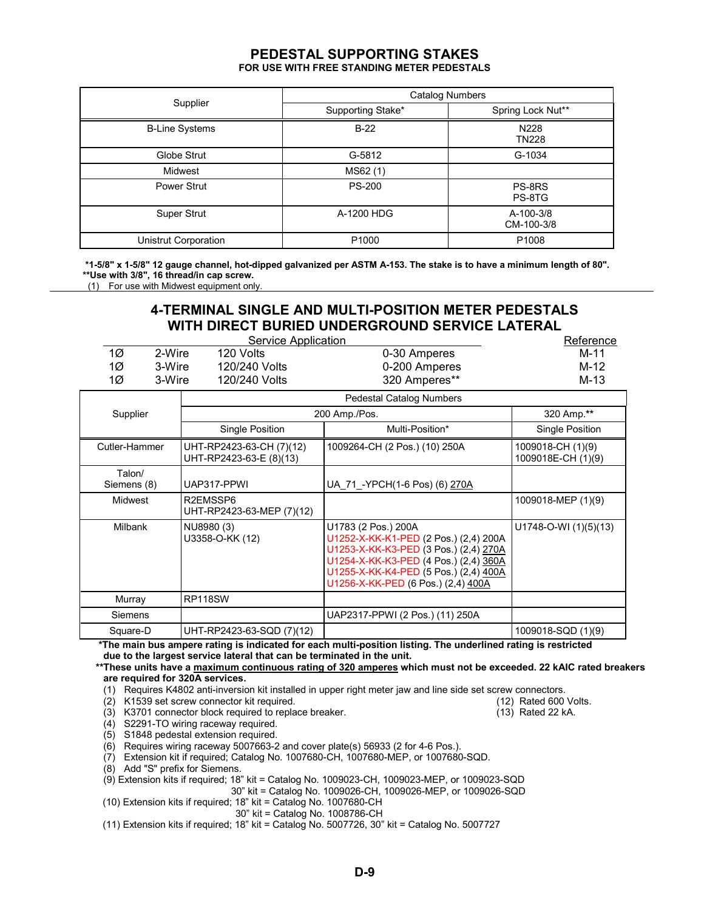# **PEDESTAL SUPPORTING STAKES**

**FOR USE WITH FREE STANDING METER PEDESTALS**

<span id="page-8-0"></span>

|                       | <b>Catalog Numbers</b> |                         |  |  |
|-----------------------|------------------------|-------------------------|--|--|
| Supplier              | Supporting Stake*      | Spring Lock Nut**       |  |  |
| <b>B-Line Systems</b> | $B-22$                 | N228<br><b>TN228</b>    |  |  |
| Globe Strut           | G-5812                 | G-1034                  |  |  |
| Midwest               | MS62(1)                |                         |  |  |
| Power Strut           | <b>PS-200</b>          | PS-8RS<br>PS-8TG        |  |  |
| Super Strut           | A-1200 HDG             | A-100-3/8<br>CM-100-3/8 |  |  |
| Unistrut Corporation  | P <sub>1000</sub>      | P <sub>1008</sub>       |  |  |

**\*1-5/8" x 1-5/8" 12 gauge channel, hot-dipped galvanized per ASTM A-153. The stake is to have a minimum length of 80". \*\*Use with 3/8", 16 thread/in cap screw.** (1) For use with Midwest equipment only.

# **4-TERMINAL SINGLE AND MULTI-POSITION METER PEDESTALS WITH DIRECT BURIED UNDERGROUND SERVICE LATERAL**

|                       | Service Application                                 |                                                                                                                                                                                                                               | Reference                               |
|-----------------------|-----------------------------------------------------|-------------------------------------------------------------------------------------------------------------------------------------------------------------------------------------------------------------------------------|-----------------------------------------|
| 1Ø                    | 2-Wire<br>120 Volts                                 | 0-30 Amperes                                                                                                                                                                                                                  | $M-11$                                  |
| 1Ø                    | 3-Wire<br>120/240 Volts                             | 0-200 Amperes                                                                                                                                                                                                                 | $M-12$                                  |
| 1Ø                    | 120/240 Volts<br>3-Wire                             | 320 Amperes**                                                                                                                                                                                                                 | $M-13$                                  |
|                       |                                                     | <b>Pedestal Catalog Numbers</b>                                                                                                                                                                                               |                                         |
| Supplier              |                                                     | 200 Amp./Pos.                                                                                                                                                                                                                 | 320 Amp.**                              |
|                       | Single Position                                     | Multi-Position*                                                                                                                                                                                                               | Single Position                         |
| Cutler-Hammer         | UHT-RP2423-63-CH (7)(12)<br>UHT-RP2423-63-E (8)(13) | 1009264-CH (2 Pos.) (10) 250A                                                                                                                                                                                                 | 1009018-CH (1)(9)<br>1009018E-CH (1)(9) |
| Talon/<br>Siemens (8) | UAP317-PPWI                                         | UA 71 - YPCH(1-6 Pos) (6) 270A                                                                                                                                                                                                |                                         |
| <b>Midwest</b>        | R2EMSSP6<br>UHT-RP2423-63-MEP (7)(12)               |                                                                                                                                                                                                                               | 1009018-MEP (1)(9)                      |
| <b>Milbank</b>        | NU8980 (3)<br>U3358-O-KK (12)                       | U1783 (2 Pos.) 200A<br>U1252-X-KK-K1-PED (2 Pos.) (2,4) 200A<br>U1253-X-KK-K3-PED (3 Pos.) (2,4) 270A<br>U1254-X-KK-K3-PED (4 Pos.) (2,4) 360A<br>U1255-X-KK-K4-PED (5 Pos.) (2,4) 400A<br>U1256-X-KK-PED (6 Pos.) (2,4) 400A | $U1748-O-WI (1)(5)(13)$                 |
| Murray                | <b>RP118SW</b>                                      |                                                                                                                                                                                                                               |                                         |
| Siemens               |                                                     | UAP2317-PPWI (2 Pos.) (11) 250A                                                                                                                                                                                               |                                         |
| Square-D              | UHT-RP2423-63-SQD (7)(12)                           |                                                                                                                                                                                                                               | 1009018-SQD (1)(9)                      |

 **\*The main bus ampere rating is indicated for each multi-position listing. The underlined rating is restricted due to the largest service lateral that can be terminated in the unit.**

#### **\*\*These units have a maximum continuous rating of 320 amperes which must not be exceeded. 22 kAIC rated breakers are required for 320A services.**

(1) Requires K4802 anti-inversion kit installed in upper right meter jaw and line side set screw connectors.

(2) K1539 set screw connector kit required.

(3) K3701 connector block required to replace breaker. (13) Rated 22 kA.

(4) S2291-TO wiring raceway required.

(5) S1848 pedestal extension required.

(6) Requires wiring raceway 5007663-2 and cover plate(s) 56933 (2 for 4-6 Pos.).

(7) Extension kit if required; Catalog No. 1007680-CH, 1007680-MEP, or 1007680-SQD.

(8) Add "S" prefix for Siemens.

(9) Extension kits if required; 18" kit = Catalog No. 1009023-CH, 1009023-MEP, or 1009023-SQD

30" kit = Catalog No. 1009026-CH, 1009026-MEP, or 1009026-SQD

- (10) Extension kits if required; 18" kit = Catalog No. 1007680-CH
	- 30" kit = Catalog No. 1008786-CH

(11) Extension kits if required; 18" kit = Catalog No. 5007726, 30" kit = Catalog No. 5007727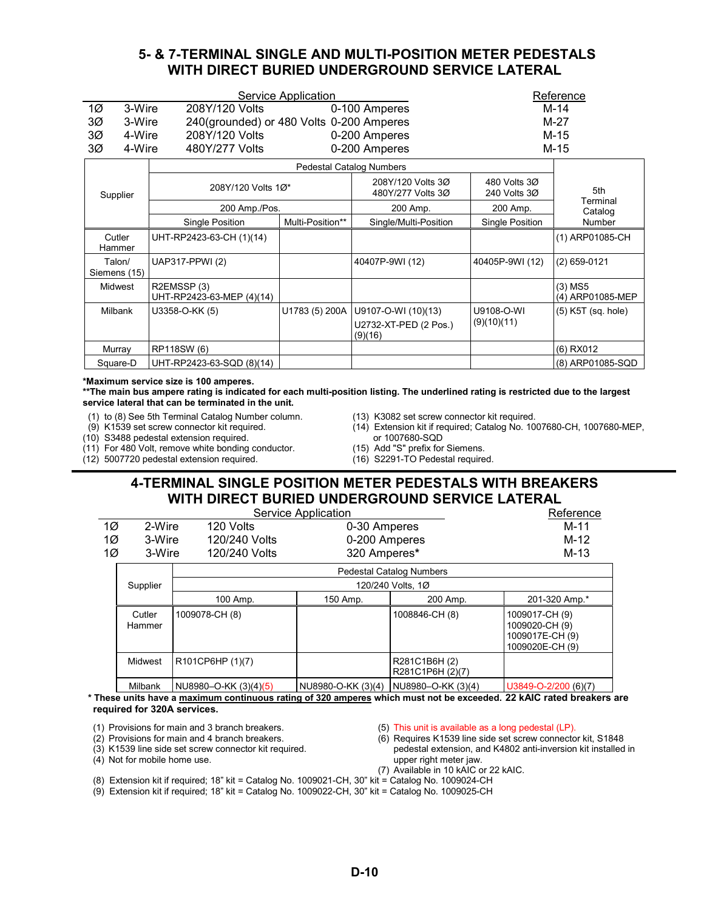### **5- & 7-TERMINAL SINGLE AND MULTI-POSITION METER PEDESTALS WITH DIRECT BURIED UNDERGROUND SERVICE LATERAL**

<span id="page-9-0"></span>

|                        | Service Application                      |                  | Reference                                               |                              |                               |
|------------------------|------------------------------------------|------------------|---------------------------------------------------------|------------------------------|-------------------------------|
| 1Ø                     | 3-Wire<br>208Y/120 Volts                 |                  | 0-100 Amperes                                           |                              | $M-14$                        |
| ЗØ<br>3-Wire           | 240(grounded) or 480 Volts 0-200 Amperes |                  |                                                         |                              | M-27                          |
| ЗØ<br>4-Wire           | 208Y/120 Volts                           |                  | 0-200 Amperes                                           |                              | $M-15$                        |
| ЗØ<br>4-Wire           | 480Y/277 Volts                           |                  | 0-200 Amperes                                           |                              | $M-15$                        |
|                        |                                          |                  | <b>Pedestal Catalog Numbers</b>                         |                              |                               |
| Supplier               | 208Y/120 Volts 1Ø*                       |                  | 208Y/120 Volts 3Ø<br>480Y/277 Volts 3Ø                  | 480 Volts 30<br>240 Volts 3Ø | 5th                           |
|                        | 200 Amp./Pos.                            |                  | 200 Amp.                                                | 200 Amp.                     | Terminal<br>Catalog           |
|                        | <b>Single Position</b>                   | Multi-Position** | Single/Multi-Position                                   | Single Position              | Number                        |
| Cutler<br>Hammer       | UHT-RP2423-63-CH (1)(14)                 |                  |                                                         |                              | (1) ARP01085-CH               |
| Talon/<br>Siemens (15) | UAP317-PPWI (2)                          |                  | 40407P-9WI (12)                                         | 40405P-9WI (12)              | $(2)$ 659-0121                |
| <b>Midwest</b>         | R2EMSSP(3)<br>UHT-RP2423-63-MEP (4)(14)  |                  |                                                         |                              | $(3)$ MS5<br>(4) ARP01085-MEP |
| <b>Milbank</b>         | U3358-O-KK (5)                           | U1783 (5) 200A   | U9107-O-WI (10)(13)<br>U2732-XT-PED (2 Pos.)<br>(9)(16) | U9108-O-WI<br>(9)(10)(11)    | $(5)$ K5T (sq. hole)          |
| Murray                 | RP118SW (6)                              |                  |                                                         |                              | (6) RX012                     |
| Square-D               | UHT-RP2423-63-SQD (8)(14)                |                  |                                                         |                              | (8) ARP01085-SQD              |

**\*Maximum service size is 100 amperes.**

**\*\*The main bus ampere rating is indicated for each multi-position listing. The underlined rating is restricted due to the largest service lateral that can be terminated in the unit.**

(1) to (8) See 5th Terminal Catalog Number column.

(9) K1539 set screw connector kit required.

(10) S3488 pedestal extension required.

(11) For 480 Volt, remove white bonding conductor.

(12) 5007720 pedestal extension required.

- (13) K3082 set screw connector kit required.
- (14) Extension kit if required; Catalog No. 1007680-CH, 1007680-MEP, or 1007680-SQD
- (15) Add "S" prefix for Siemens.
- (16) S2291-TO Pedestal required.

## **4-TERMINAL SINGLE POSITION METER PEDESTALS WITH BREAKERS WITH DIRECT BURIED UNDERGROUND SERVICE LATERAL**

|    |                           | Service Application             |                    | Reference                         |                                                                        |
|----|---------------------------|---------------------------------|--------------------|-----------------------------------|------------------------------------------------------------------------|
|    | 1Ø<br>2-Wire<br>120 Volts |                                 |                    | 0-30 Amperes                      |                                                                        |
| 1Ø | 3-Wire                    | 120/240 Volts                   | 0-200 Amperes      |                                   | M-12                                                                   |
| 1Ø | 3-Wire                    | 120/240 Volts                   | 320 Amperes*       |                                   | $M-13$                                                                 |
|    |                           | <b>Pedestal Catalog Numbers</b> |                    |                                   |                                                                        |
|    | Supplier                  |                                 | 120/240 Volts, 1Ø  |                                   |                                                                        |
|    |                           | 100 Amp.                        | 150 Amp.           | 200 Amp.                          | 201-320 Amp.*                                                          |
|    | Cutler<br>Hammer          | 1009078-CH (8)                  |                    | 1008846-CH (8)                    | 1009017-CH (9)<br>1009020-CH (9)<br>1009017E-CH (9)<br>1009020E-CH (9) |
|    | Midwest                   | R101CP6HP (1)(7)                |                    | R281C1B6H (2)<br>R281C1P6H (2)(7) |                                                                        |
|    | Milbank                   | NU8980-O-KK (3)(4)(5)           | NU8980-O-KK (3)(4) | NU8980-O-KK (3)(4)                | U3849-O-2/200 (6)(7)                                                   |

**\* These units have a maximum continuous rating of 320 amperes which must not be exceeded. 22 kAIC rated breakers are required for 320A services.**

- (1) Provisions for main and 3 branch breakers.
- (2) Provisions for main and 4 branch breakers.
- (3) K1539 line side set screw connector kit required.
- (4) Not for mobile home use.
- (5) This unit is available as a long pedestal (LP).
- (6) Requires K1539 line side set screw connector kit, S1848 pedestal extension, and K4802 anti-inversion kit installed in upper right meter jaw.
- (7) Available in 10 kAIC or 22 kAIC.
- (8) Extension kit if required; 18" kit = Catalog No. 1009021-CH, 30" kit = Catalog No. 1009024-CH
- (9) Extension kit if required; 18" kit = Catalog No. 1009022-CH, 30" kit = Catalog No. 1009025-CH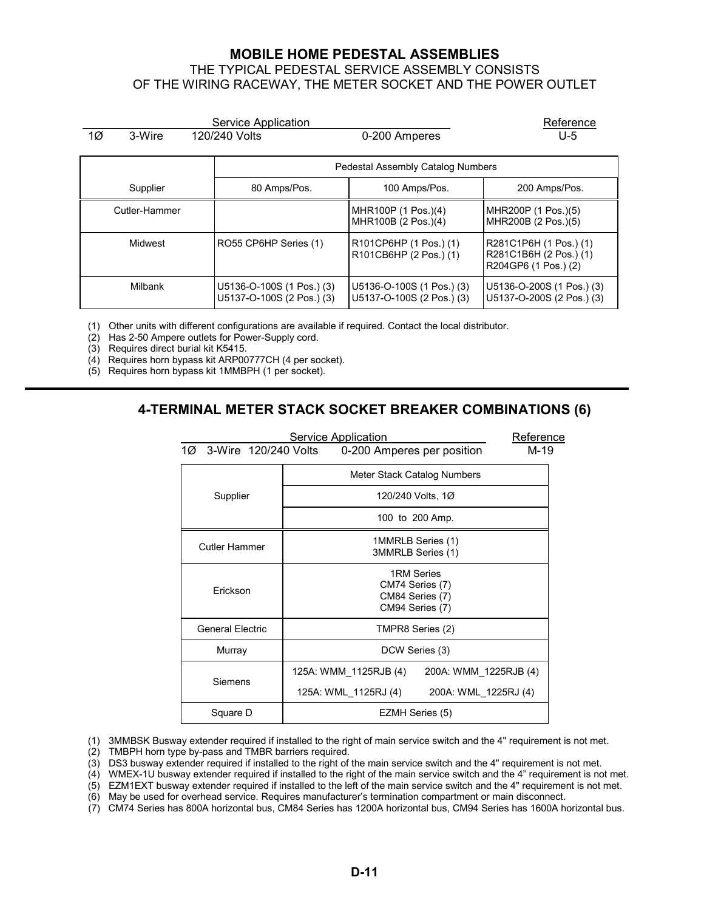#### **MOBILE HOME PEDESTAL ASSEMBLIES** THE TYPICAL PEDESTAL SERVICE ASSEMBLY CONSISTS OF THE WIRING RACEWAY, THE METER SOCKET AND THE POWER OUTLET

<span id="page-10-0"></span>

| Service Application |               |               |                                                        |                                                        | Reference                                                                |
|---------------------|---------------|---------------|--------------------------------------------------------|--------------------------------------------------------|--------------------------------------------------------------------------|
| 1Ø                  | 3-Wire        | 120/240 Volts |                                                        | 0-200 Amperes                                          | U-5                                                                      |
|                     |               |               |                                                        | Pedestal Assembly Catalog Numbers                      |                                                                          |
|                     | Supplier      |               | 80 Amps/Pos.                                           | 100 Amps/Pos.                                          | 200 Amps/Pos.                                                            |
|                     | Cutler-Hammer |               |                                                        | MHR100P (1 Pos.)(4)<br>MHR100B (2 Pos.)(4)             | MHR200P (1 Pos.)(5)<br>MHR200B (2 Pos.)(5)                               |
|                     | Midwest       |               | RO55 CP6HP Series (1)                                  | R101CP6HP (1 Pos.) (1)<br>R101CB6HP (2 Pos.) (1)       | R281C1P6H (1 Pos.) (1)<br>R281C1B6H (2 Pos.) (1)<br>R204GP6 (1 Pos.) (2) |
|                     | Milbank       |               | U5136-O-100S (1 Pos.) (3)<br>U5137-O-100S (2 Pos.) (3) | U5136-O-100S (1 Pos.) (3)<br>U5137-O-100S (2 Pos.) (3) | U5136-O-200S (1 Pos.) (3)<br>U5137-O-200S (2 Pos.) (3)                   |

(1) Other units with different configurations are available if required. Contact the local distributor.

(2) Has 2-50 Ampere outlets for Power-Supply cord.

(3) Requires direct burial kit K5415.

(4) Requires horn bypass kit ARP00777CH (4 per socket).

(5) Requires horn bypass kit 1MMBPH (1 per socket).

#### **4-TERMINAL METER STACK SOCKET BREAKER COMBINATIONS (6)**

|                             | Service Application<br>Reference                                    |  |
|-----------------------------|---------------------------------------------------------------------|--|
| 3-Wire 120/240 Volts<br>1Ø. | M-19<br>0-200 Amperes per position                                  |  |
|                             | Meter Stack Catalog Numbers                                         |  |
| Supplier                    | 120/240 Volts, 1Ø                                                   |  |
|                             | 100 to 200 Amp.                                                     |  |
| <b>Cutler Hammer</b>        | 1MMRLB Series (1)<br>3MMRLB Series (1)                              |  |
| Erickson                    | 1RM Series<br>CM74 Series (7)<br>CM84 Series (7)<br>CM94 Series (7) |  |
| <b>General Electric</b>     | TMPR8 Series (2)                                                    |  |
| Murray                      | DCW Series (3)                                                      |  |
| Siemens                     | 125A: WMM_1125RJB (4)<br>200A: WMM 1225RJB (4)                      |  |
|                             | 125A: WML 1125RJ (4)<br>200A: WML 1225RJ (4)                        |  |
| Square D                    | EZMH Series (5)                                                     |  |

(1) 3MMBSK Busway extender required if installed to the right of main service switch and the 4" requirement is not met.

(2) TMBPH horn type by-pass and TMBR barriers required.

 $(3)$  DS3 busway extender required if installed to the right of the main service switch and the 4" requirement is not met.

(4) WMEX-1U busway extender required if installed to the right of the main service switch and the 4" requirement is not met.

(5) EZM1EXT busway extender required if installed to the left of the main service switch and the 4" requirement is not met.

(6) May be used for overhead service. Requires manufacturer's termination compartment or main disconnect.

(7) CM74 Series has 800A horizontal bus, CM84 Series has 1200A horizontal bus, CM94 Series has 1600A horizontal bus.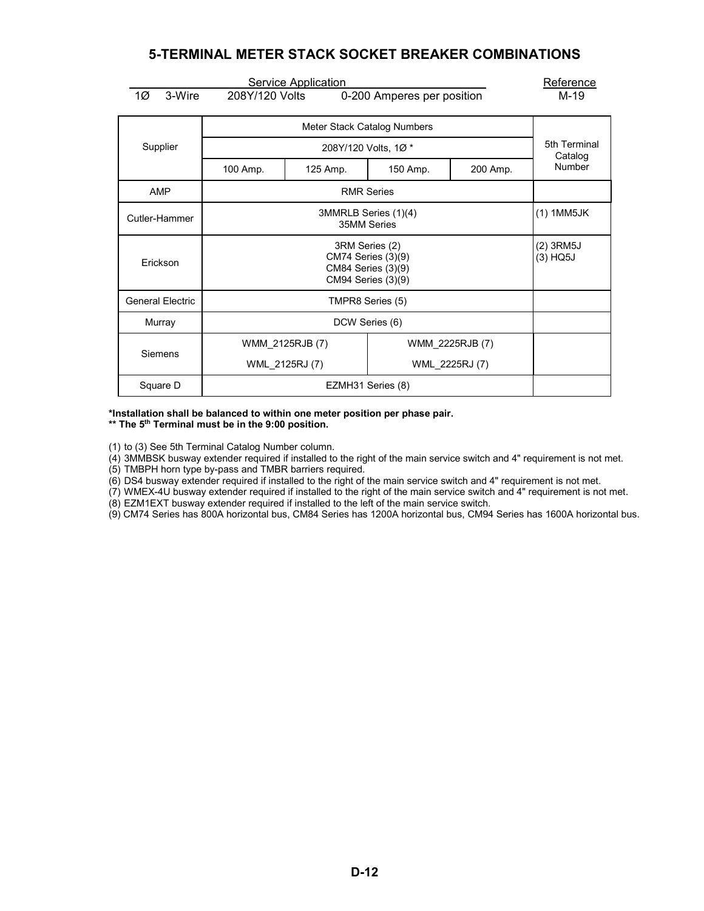## **5-TERMINAL METER STACK SOCKET BREAKER COMBINATIONS**

<span id="page-11-0"></span>

|                         | Reference                           |                            |                             |          |                         |  |
|-------------------------|-------------------------------------|----------------------------|-----------------------------|----------|-------------------------|--|
| 1Ø<br>3-Wire            | 208Y/120 Volts                      | <b>Service Application</b> | 0-200 Amperes per position  |          | M-19                    |  |
|                         |                                     |                            | Meter Stack Catalog Numbers |          |                         |  |
| Supplier                |                                     |                            | 208Y/120 Volts, 1Ø*         |          | 5th Terminal<br>Catalog |  |
|                         | 100 Amp.                            | 125 Amp.                   | 150 Amp.                    | 200 Amp. | Number                  |  |
| <b>AMP</b>              |                                     | <b>RMR Series</b>          |                             |          |                         |  |
| Cutler-Hammer           | 3MMRLB Series (1)(4)<br>35MM Series |                            |                             |          | (1) 1MM5JK              |  |
| Erickson                |                                     | $(2)$ 3RM5J<br>$(3)$ HQ5J  |                             |          |                         |  |
| <b>General Electric</b> |                                     | TMPR8 Series (5)           |                             |          |                         |  |
| Murray                  |                                     |                            |                             |          |                         |  |
| Siemens                 | WMM_2225RJB (7)<br>WMM_2125RJB(7)   |                            |                             |          |                         |  |
|                         | WML 2125RJ (7)<br>WML 2225RJ (7)    |                            |                             |          |                         |  |
| Square D                | EZMH31 Series (8)                   |                            |                             |          |                         |  |

#### **\*Installation shall be balanced to within one meter position per phase pair.**

**\*\* The 5th Terminal must be in the 9:00 position.**

(1) to (3) See 5th Terminal Catalog Number column.

(4) 3MMBSK busway extender required if installed to the right of the main service switch and 4" requirement is not met.

(5) TMBPH horn type by-pass and TMBR barriers required.

(6) DS4 busway extender required if installed to the right of the main service switch and 4" requirement is not met.

(7) WMEX-4U busway extender required if installed to the right of the main service switch and 4" requirement is not met.

(8) EZM1EXT busway extender required if installed to the left of the main service switch.

(9) CM74 Series has 800A horizontal bus, CM84 Series has 1200A horizontal bus, CM94 Series has 1600A horizontal bus.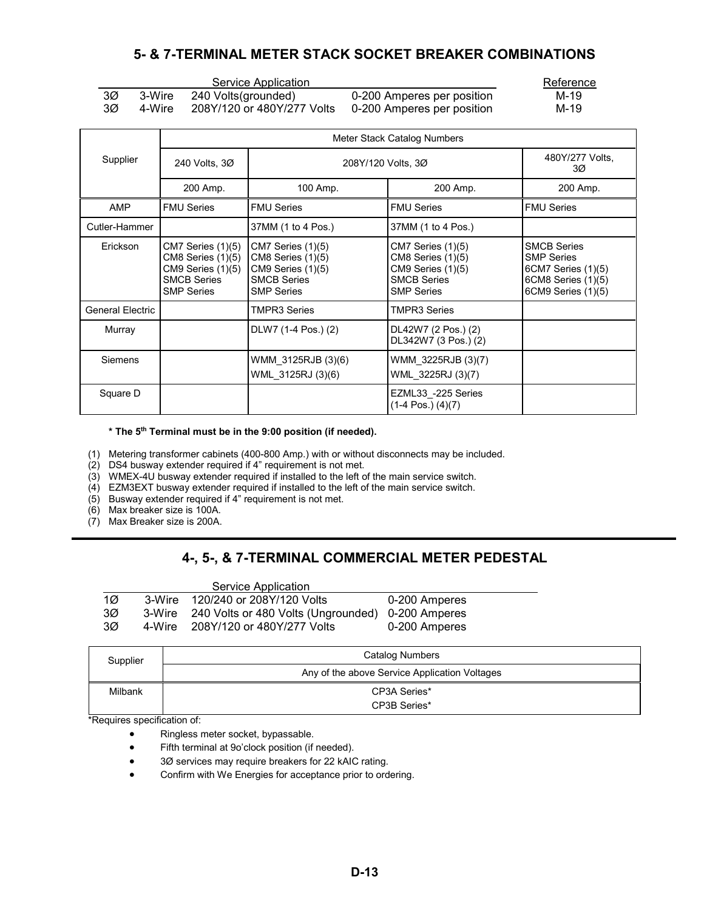## **5- & 7-TERMINAL METER STACK SOCKET BREAKER COMBINATIONS**

<span id="page-12-0"></span>

|        |                                                                                                                                                                                                                                                                                                                                                                                                                                                             | Servi     |
|--------|-------------------------------------------------------------------------------------------------------------------------------------------------------------------------------------------------------------------------------------------------------------------------------------------------------------------------------------------------------------------------------------------------------------------------------------------------------------|-----------|
| 3Ø     | 3-Wire                                                                                                                                                                                                                                                                                                                                                                                                                                                      | 240 Volts |
| $\sim$ | $\lambda$ , $\lambda$ , $\lambda$ , $\lambda$ , $\lambda$ , $\lambda$ , $\lambda$ , $\lambda$ , $\lambda$ , $\lambda$ , $\lambda$ , $\lambda$ , $\lambda$ , $\lambda$ , $\lambda$ , $\lambda$ , $\lambda$ , $\lambda$ , $\lambda$ , $\lambda$ , $\lambda$ , $\lambda$ , $\lambda$ , $\lambda$ , $\lambda$ , $\lambda$ , $\lambda$ , $\lambda$ , $\lambda$ , $\lambda$ , $\lambda$ , $\lambda$ , $\lambda$ , $\lambda$ , $\lambda$ , $\lambda$ , $\lambda$ , | 00011100  |

Service Application Reference

(grounded) 0-200 Amperes per position 3Ø 4-Wire 208Y/120 or 480Y/277 Volts 0-200 Amperes per position M-19

|                         | Meter Stack Catalog Numbers                                                                                    |                                                                                                               |                                                                                                            |                                                                                                           |  |  |
|-------------------------|----------------------------------------------------------------------------------------------------------------|---------------------------------------------------------------------------------------------------------------|------------------------------------------------------------------------------------------------------------|-----------------------------------------------------------------------------------------------------------|--|--|
| Supplier                | 240 Volts, 3Ø                                                                                                  | 208Y/120 Volts, 3Ø                                                                                            |                                                                                                            | 480Y/277 Volts,<br>3Ø                                                                                     |  |  |
|                         | 200 Amp.                                                                                                       | 100 Amp.                                                                                                      | 200 Amp.                                                                                                   | 200 Amp.                                                                                                  |  |  |
| AMP                     | <b>FMU Series</b>                                                                                              | <b>FMU Series</b>                                                                                             | <b>FMU Series</b>                                                                                          | <b>FMU Series</b>                                                                                         |  |  |
| Cutler-Hammer           |                                                                                                                | 37MM (1 to 4 Pos.)                                                                                            | 37MM (1 to 4 Pos.)                                                                                         |                                                                                                           |  |  |
| Erickson                | CM7 Series (1)(5)<br>$CM8$ Series $(1)(5)$<br>$CM9$ Series $(1)(5)$<br><b>SMCB Series</b><br><b>SMP Series</b> | CM7 Series (1)(5)<br><b>CM8 Series (1)(5)</b><br>CM9 Series (1)(5)<br><b>SMCB Series</b><br><b>SMP Series</b> | CM7 Series (1)(5)<br>CM8 Series (1)(5)<br>$CM9$ Series $(1)(5)$<br><b>SMCB Series</b><br><b>SMP Series</b> | <b>SMCB Series</b><br><b>SMP Series</b><br>6CM7 Series (1)(5)<br>6CM8 Series (1)(5)<br>6CM9 Series (1)(5) |  |  |
| <b>General Electric</b> |                                                                                                                | TMPR3 Series                                                                                                  | <b>TMPR3 Series</b>                                                                                        |                                                                                                           |  |  |
| Murray                  |                                                                                                                | DLW7 (1-4 Pos.) (2)                                                                                           | DL42W7 (2 Pos.) (2)<br>DL342W7 (3 Pos.) (2)                                                                |                                                                                                           |  |  |
| Siemens                 |                                                                                                                | WMM_3125RJB (3)(6)<br>WML_3125RJ (3)(6)                                                                       | WMM_3225RJB (3)(7)<br>WML_3225RJ (3)(7)                                                                    |                                                                                                           |  |  |
| Square D                |                                                                                                                |                                                                                                               | EZML33 -225 Series<br>$(1-4 \text{ Pos.}) (4)(7)$                                                          |                                                                                                           |  |  |

**\* The 5th Terminal must be in the 9:00 position (if needed).**

(1) Metering transformer cabinets (400-800 Amp.) with or without disconnects may be included.

(2) DS4 busway extender required if 4" requirement is not met.

(3) WMEX-4U busway extender required if installed to the left of the main service switch.

 $(4)$  EZM3EXT busway extender required if installed to the left of the main service switch.

(5) Busway extender required if 4" requirement is not met.

(6) Max breaker size is 100A.

(7) Max Breaker size is 200A.

# **4-, 5-, & 7-TERMINAL COMMERCIAL METER PEDESTAL**

|                 |        | Service Application                                      |               |
|-----------------|--------|----------------------------------------------------------|---------------|
| 1 $\varnothing$ |        | 3-Wire 120/240 or 208Y/120 Volts                         | 0-200 Amperes |
| 3Ø              |        | 3-Wire 240 Volts or 480 Volts (Ungrounded) 0-200 Amperes |               |
| 3Ø              | 4-Wire | 208Y/120 or 480Y/277 Volts                               | 0-200 Amperes |

| Supplier | <b>Catalog Numbers</b>                        |
|----------|-----------------------------------------------|
|          | Any of the above Service Application Voltages |
| Milbank  | CP3A Series*                                  |
|          | CP3B Series*                                  |

\*Requires specification of:

- Ringless meter socket, bypassable.
- Fifth terminal at 9o'clock position (if needed).
- 3Ø services may require breakers for 22 kAIC rating.
- Confirm with We Energies for acceptance prior to ordering.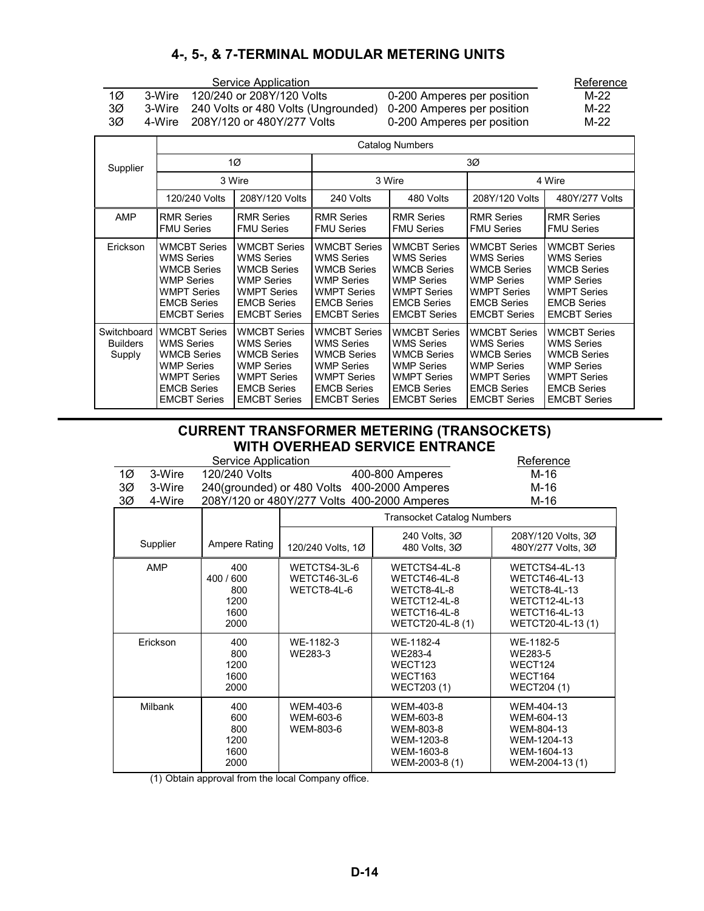# **4-, 5-, & 7-TERMINAL MODULAR METERING UNITS**

<span id="page-13-0"></span>

|                                                                                   | Reference                                                                                                                                              |                                                                                                                                                        |                                                                                                                                                        |                                                                                                                                                        |                                                                                                                                                        |                                                                                                                                                        |
|-----------------------------------------------------------------------------------|--------------------------------------------------------------------------------------------------------------------------------------------------------|--------------------------------------------------------------------------------------------------------------------------------------------------------|--------------------------------------------------------------------------------------------------------------------------------------------------------|--------------------------------------------------------------------------------------------------------------------------------------------------------|--------------------------------------------------------------------------------------------------------------------------------------------------------|--------------------------------------------------------------------------------------------------------------------------------------------------------|
| 1Ø                                                                                | 120/240 or 208Y/120 Volts<br>3-Wire                                                                                                                    | $M-22$                                                                                                                                                 |                                                                                                                                                        |                                                                                                                                                        |                                                                                                                                                        |                                                                                                                                                        |
| 3Ø<br>240 Volts or 480 Volts (Ungrounded)<br>0-200 Amperes per position<br>3-Wire |                                                                                                                                                        |                                                                                                                                                        |                                                                                                                                                        |                                                                                                                                                        |                                                                                                                                                        | $M-22$                                                                                                                                                 |
| ЗØ                                                                                | 208Y/120 or 480Y/277 Volts<br>0-200 Amperes per position<br>4-Wire                                                                                     |                                                                                                                                                        |                                                                                                                                                        |                                                                                                                                                        |                                                                                                                                                        |                                                                                                                                                        |
|                                                                                   |                                                                                                                                                        |                                                                                                                                                        |                                                                                                                                                        | <b>Catalog Numbers</b>                                                                                                                                 |                                                                                                                                                        |                                                                                                                                                        |
| Supplier                                                                          |                                                                                                                                                        | 1Ø                                                                                                                                                     |                                                                                                                                                        |                                                                                                                                                        | ЗØ                                                                                                                                                     |                                                                                                                                                        |
|                                                                                   |                                                                                                                                                        | 3 Wire                                                                                                                                                 | 3 Wire                                                                                                                                                 |                                                                                                                                                        |                                                                                                                                                        | 4 Wire                                                                                                                                                 |
|                                                                                   | 120/240 Volts                                                                                                                                          | 208Y/120 Volts                                                                                                                                         | 240 Volts                                                                                                                                              | 480 Volts                                                                                                                                              | 208Y/120 Volts                                                                                                                                         | 480Y/277 Volts                                                                                                                                         |
| <b>AMP</b><br><b>RMR Series</b><br><b>FMU Series</b>                              |                                                                                                                                                        | <b>RMR Series</b><br><b>FMU Series</b>                                                                                                                 | <b>RMR Series</b><br><b>FMU Series</b>                                                                                                                 | <b>RMR Series</b><br><b>FMU Series</b>                                                                                                                 | <b>RMR Series</b><br><b>FMU Series</b>                                                                                                                 | <b>RMR Series</b><br><b>FMU Series</b>                                                                                                                 |
| Erickson                                                                          | <b>WMCBT Series</b><br><b>WMS Series</b><br><b>WMCB Series</b><br><b>WMP Series</b><br><b>WMPT Series</b><br><b>EMCB Series</b><br><b>EMCBT Series</b> | <b>WMCBT Series</b><br><b>WMS Series</b><br><b>WMCB Series</b><br><b>WMP Series</b><br><b>WMPT Series</b><br><b>EMCB Series</b><br><b>EMCBT Series</b> | <b>WMCBT Series</b><br><b>WMS Series</b><br><b>WMCB Series</b><br><b>WMP Series</b><br><b>WMPT Series</b><br><b>EMCB Series</b><br><b>EMCBT Series</b> | <b>WMCBT Series</b><br><b>WMS Series</b><br><b>WMCB Series</b><br><b>WMP Series</b><br><b>WMPT Series</b><br><b>EMCB Series</b><br><b>EMCBT Series</b> | <b>WMCBT Series</b><br><b>WMS Series</b><br><b>WMCB Series</b><br><b>WMP Series</b><br><b>WMPT Series</b><br><b>EMCB Series</b><br><b>EMCBT Series</b> | <b>WMCBT Series</b><br><b>WMS Series</b><br><b>WMCB Series</b><br><b>WMP Series</b><br><b>WMPT Series</b><br><b>EMCB Series</b><br><b>EMCBT Series</b> |
| Switchboard<br><b>Builders</b><br>Supply                                          | <b>WMCBT Series</b><br><b>WMS Series</b><br><b>WMCB Series</b><br><b>WMP Series</b><br><b>WMPT Series</b><br><b>EMCB Series</b><br><b>EMCBT Series</b> | <b>WMCBT Series</b><br><b>WMS Series</b><br><b>WMCB Series</b><br><b>WMP Series</b><br><b>WMPT Series</b><br><b>EMCB Series</b><br><b>EMCBT Series</b> | <b>WMCBT Series</b><br><b>WMS Series</b><br><b>WMCB Series</b><br><b>WMP Series</b><br><b>WMPT Series</b><br><b>EMCB Series</b><br><b>EMCBT Series</b> | <b>WMCBT Series</b><br><b>WMS Series</b><br><b>WMCB Series</b><br><b>WMP Series</b><br><b>WMPT Series</b><br><b>EMCB Series</b><br><b>EMCBT Series</b> | <b>WMCBT Series</b><br><b>WMS Series</b><br><b>WMCB Series</b><br><b>WMP Series</b><br><b>WMPT Series</b><br><b>EMCB Series</b><br><b>EMCBT Series</b> | <b>WMCBT Series</b><br><b>WMS Series</b><br><b>WMCB Series</b><br>WMP Series<br><b>WMPT Series</b><br><b>EMCB Series</b><br><b>EMCBT Series</b>        |

### **CURRENT TRANSFORMER METERING (TRANSOCKETS) WITH OVERHEAD SERVICE ENTRANCE**

|                                                               | WITH OVENILAD SERVIGE ENTRANGE   |                                             |                                                                                                 |                                                                                                                            |                                          |  |  |  |
|---------------------------------------------------------------|----------------------------------|---------------------------------------------|-------------------------------------------------------------------------------------------------|----------------------------------------------------------------------------------------------------------------------------|------------------------------------------|--|--|--|
|                                                               | Service Application<br>Reference |                                             |                                                                                                 |                                                                                                                            |                                          |  |  |  |
| 1 $\varnothing$                                               | 3-Wire                           | 120/240 Volts                               |                                                                                                 | 400-800 Amperes                                                                                                            | M-16                                     |  |  |  |
| ЗØ                                                            | 3-Wire                           |                                             | 240(grounded) or 480 Volts 400-2000 Amperes                                                     |                                                                                                                            | M-16                                     |  |  |  |
| 3Ø                                                            | 4-Wire                           |                                             | 208Y/120 or 480Y/277 Volts 400-2000 Amperes                                                     |                                                                                                                            | M-16                                     |  |  |  |
|                                                               |                                  |                                             |                                                                                                 | <b>Transocket Catalog Numbers</b>                                                                                          |                                          |  |  |  |
| Supplier                                                      |                                  | Ampere Rating                               | 120/240 Volts, 1Ø                                                                               | 240 Volts, 3Ø<br>480 Volts, 30                                                                                             | 208Y/120 Volts, 3Ø<br>480Y/277 Volts, 3Ø |  |  |  |
| <b>AMP</b><br>400<br>400 / 600<br>800<br>1200<br>1600<br>2000 |                                  | WETCTS4-3L-6<br>WETCT46-3L-6<br>WETCT8-4L-6 | WETCTS4-4L-8<br>WETCT46-4L-8<br>WETCT8-4L-8<br>WETCT12-4L-8<br>WETCT16-4L-8<br>WETCT20-4L-8 (1) | WETCTS4-4L-13<br>WETCT46-4L-13<br><b>WETCT8-4L-13</b><br><b>WETCT12-4L-13</b><br><b>WETCT16-4L-13</b><br>WETCT20-4L-13 (1) |                                          |  |  |  |
| 400<br>Erickson<br>800<br>1200                                |                                  | WE-1182-3<br>WE283-3                        | WE-1182-4<br>WE283-4<br>WECT123                                                                 | WE-1182-5<br>WE283-5<br>WECT124                                                                                            |                                          |  |  |  |

|         | 1600<br>2000                              |                                     | WECT163<br>WECT203 (1)                                                            | WECT164<br>WECT204 (1)                                                                  |
|---------|-------------------------------------------|-------------------------------------|-----------------------------------------------------------------------------------|-----------------------------------------------------------------------------------------|
| Milbank | 400<br>600<br>800<br>1200<br>1600<br>2000 | WEM-403-6<br>WEM-603-6<br>WEM-803-6 | WEM-403-8<br>WEM-603-8<br>WEM-803-8<br>WEM-1203-8<br>WEM-1603-8<br>WEM-2003-8 (1) | WEM-404-13<br>WEM-604-13<br>WEM-804-13<br>WEM-1204-13<br>WEM-1604-13<br>WEM-2004-13 (1) |

(1) Obtain approval from the local Company office.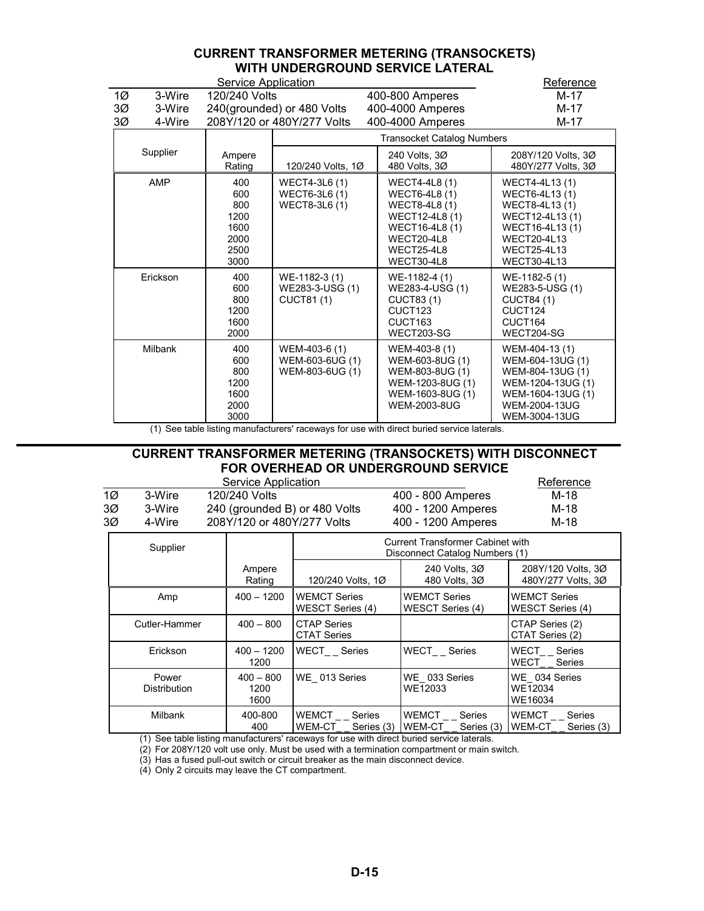#### **CURRENT TRANSFORMER METERING (TRANSOCKETS) WITH UNDERGROUND SERVICE LATERAL**

<span id="page-14-0"></span>

|    |                | Reference                                                 |                                                     |                                                                                                                                      |                                                                                                                                                            |
|----|----------------|-----------------------------------------------------------|-----------------------------------------------------|--------------------------------------------------------------------------------------------------------------------------------------|------------------------------------------------------------------------------------------------------------------------------------------------------------|
| 1Ø | 3-Wire         | 120/240 Volts                                             |                                                     | 400-800 Amperes                                                                                                                      | M-17                                                                                                                                                       |
| 3Ø | 3-Wire         |                                                           | 240(grounded) or 480 Volts                          | 400-4000 Amperes                                                                                                                     | M-17                                                                                                                                                       |
| 3Ø | 4-Wire         |                                                           | 208Y/120 or 480Y/277 Volts                          | 400-4000 Amperes                                                                                                                     | M-17                                                                                                                                                       |
|    |                | <b>Transocket Catalog Numbers</b>                         |                                                     |                                                                                                                                      |                                                                                                                                                            |
|    | Supplier       | Ampere<br>Rating                                          | 120/240 Volts, 1Ø                                   | 240 Volts, 3Ø<br>480 Volts, 3Ø                                                                                                       | 208Y/120 Volts, 3Ø<br>480Y/277 Volts, 3Ø                                                                                                                   |
|    | AMP            | 400<br>600<br>800<br>1200<br>1600<br>2000<br>2500<br>3000 | WECT4-3L6 (1)<br>WECT6-3L6 (1)<br>WECT8-3L6 (1)     | <b>WECT4-4L8 (1)</b><br>WECT6-4L8 (1)<br>WECT8-4L8 (1)<br>WECT12-4L8 (1)<br>WECT16-4L8 (1)<br>WECT20-4L8<br>WECT25-4L8<br>WECT30-4L8 | WECT4-4L13 (1)<br>WECT6-4L13 (1)<br>WECT8-4L13 (1)<br>WECT12-4L13 (1)<br>WECT16-4L13 (1)<br><b>WECT20-4L13</b><br><b>WECT25-4L13</b><br><b>WECT30-4L13</b> |
|    | Erickson       | 400<br>600<br>800<br>1200<br>1600<br>2000                 | WE-1182-3 (1)<br>WE283-3-USG (1)<br>CUCT81 (1)      | WE-1182-4 (1)<br>WE283-4-USG (1)<br><b>CUCT83(1)</b><br>CUCT <sub>123</sub><br>CUCT <sub>163</sub><br>WECT203-SG                     | WE-1182-5 (1)<br>WE283-5-USG (1)<br><b>CUCT84 (1)</b><br>CUCT124<br>CUCT164<br>WECT204-SG                                                                  |
|    | <b>Milbank</b> | 400<br>600<br>800<br>1200<br>1600<br>2000<br>3000         | WEM-403-6 (1)<br>WEM-603-6UG (1)<br>WEM-803-6UG (1) | WEM-403-8 (1)<br>WEM-603-8UG (1)<br>WEM-803-8UG (1)<br>WEM-1203-8UG (1)<br>WEM-1603-8UG (1)<br><b>WEM-2003-8UG</b>                   | WEM-404-13 (1)<br>WEM-604-13UG (1)<br>WEM-804-13UG (1)<br>WEM-1204-13UG (1)<br>WEM-1604-13UG (1)<br>WEM-2004-13UG<br>WEM-3004-13UG                         |

(1) See table listing manufacturers' raceways for use with direct buried service laterals.

### **CURRENT TRANSFORMER METERING (TRANSOCKETS) WITH DISCONNECT FOR OVERHEAD OR UNDERGROUND SERVICE**

|    |        | Service Application           |                    | Reference |
|----|--------|-------------------------------|--------------------|-----------|
| 1Ø | 3-Wire | 120/240 Volts                 | 400 - 800 Amperes  | M-18      |
| 3Ø | 3-Wire | 240 (grounded B) or 480 Volts | 400 - 1200 Amperes | M-18      |
| 3Ø | 4-Wire | 208Y/120 or 480Y/277 Volts    | 400 - 1200 Amperes | M-18      |

| Supplier                     |                             | <b>Current Transformer Cabinet with</b><br>Disconnect Catalog Numbers (1) |                                         |                                                       |  |
|------------------------------|-----------------------------|---------------------------------------------------------------------------|-----------------------------------------|-------------------------------------------------------|--|
|                              | Ampere<br>Rating            | 120/240 Volts, 1Ø                                                         | 240 Volts, 30<br>480 Volts, 3Ø          | 208Y/120 Volts, 3Ø<br>480Y/277 Volts, 3Ø              |  |
| Amp                          | $400 - 1200$                | <b>WEMCT Series</b><br>WESCT Series (4)                                   | <b>WEMCT Series</b><br>WESCT Series (4) | <b>WEMCT Series</b><br>WESCT Series (4)               |  |
| Cutler-Hammer                | $400 - 800$                 | <b>CTAP Series</b><br><b>CTAT Series</b>                                  |                                         | CTAP Series (2)<br>CTAT Series (2)                    |  |
| Erickson                     | $400 - 1200$<br>1200        | WECT Series                                                               | WECT Series                             | <b>WECT</b><br>Series<br>WECT<br>Series               |  |
| Power<br><b>Distribution</b> | $400 - 800$<br>1200<br>1600 | WE 013 Series                                                             | WE 033 Series<br>WE12033                | WE 034 Series<br>WE12034<br>WE16034                   |  |
| Milbank                      | 400-800<br>400              | <b>WEMCT</b><br>Series<br>WEM-CT<br>Series (3)                            | WEMCT<br>Series<br>WEM-CT Series (3)    | <b>WEMCT</b><br><b>Series</b><br>WEM-CT<br>Series (3) |  |

(1) See table listing manufacturers' raceways for use with direct buried service laterals.

(2) For 208Y/120 volt use only. Must be used with a termination compartment or main switch.

(3) Has a fused pull-out switch or circuit breaker as the main disconnect device.

(4) Only 2 circuits may leave the CT compartment.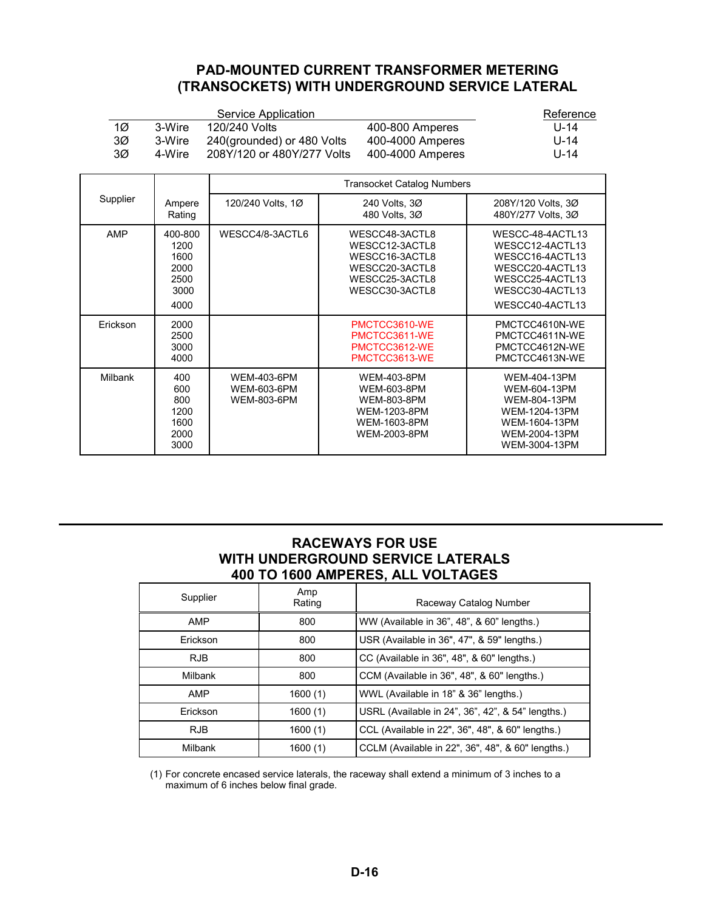## **PAD-MOUNTED CURRENT TRANSFORMER METERING (TRANSOCKETS) WITH UNDERGROUND SERVICE LATERAL**

<span id="page-15-0"></span>

|    |        | Service Application        |                  | Reference |
|----|--------|----------------------------|------------------|-----------|
| 1Ø | 3-Wire | 120/240 Volts              | 400-800 Amperes  | $11 - 14$ |
| 3Ø | 3-Wire | 240(grounded) or 480 Volts | 400-4000 Amperes | U-14      |
| 3Ø | 4-Wire | 208Y/120 or 480Y/277 Volts | 400-4000 Amperes | U-14      |

|                |                                                         | <b>Transocket Catalog Numbers</b>                              |                                                                                                                |                                                                                                                                    |  |  |
|----------------|---------------------------------------------------------|----------------------------------------------------------------|----------------------------------------------------------------------------------------------------------------|------------------------------------------------------------------------------------------------------------------------------------|--|--|
| Supplier       | Ampere<br>Rating                                        | 120/240 Volts, 1Ø                                              | 240 Volts, 30<br>480 Volts, 3Ø                                                                                 | 208Y/120 Volts, 3Ø<br>480Y/277 Volts, 3Ø                                                                                           |  |  |
| <b>AMP</b>     | 400-800<br>1200<br>1600<br>2000<br>2500<br>3000<br>4000 | WESCC4/8-3ACTL6                                                | WESCC48-3ACTL8<br>WESCC12-3ACTL8<br>WESCC16-3ACTL8<br>WESCC20-3ACTL8<br>WESCC25-3ACTL8<br>WESCC30-3ACTL8       | WESCC-48-4ACTL13<br>WESCC12-4ACTL13<br>WESCC16-4ACTL13<br>WESCC20-4ACTL13<br>WESCC25-4ACTL13<br>WESCC30-4ACTL13<br>WESCC40-4ACTL13 |  |  |
| Erickson       | 2000<br>2500<br>3000<br>4000                            |                                                                | PMCTCC3610-WE<br>PMCTCC3611-WE<br>PMCTCC3612-WE<br>PMCTCC3613-WE                                               | PMCTCC4610N-WE<br>PMCTCC4611N-WE<br>PMCTCC4612N-WE<br>PMCTCC4613N-WE                                                               |  |  |
| <b>Milbank</b> | 400<br>600<br>800<br>1200<br>1600<br>2000<br>3000       | <b>WEM-403-6PM</b><br><b>WEM-603-6PM</b><br><b>WEM-803-6PM</b> | <b>WEM-403-8PM</b><br><b>WEM-603-8PM</b><br><b>WEM-803-8PM</b><br>WEM-1203-8PM<br>WEM-1603-8PM<br>WEM-2003-8PM | WEM-404-13PM<br>WEM-604-13PM<br>WEM-804-13PM<br>WEM-1204-13PM<br>WEM-1604-13PM<br>WEM-2004-13PM<br>WEM-3004-13PM                   |  |  |

#### **RACEWAYS FOR USE WITH UNDERGROUND SERVICE LATERALS 400 TO 1600 AMPERES, ALL VOLTAGES**

| Supplier   | Amp<br>Rating | Raceway Catalog Number                            |
|------------|---------------|---------------------------------------------------|
| AMP        | 800           | WW (Available in 36", 48", & 60" lengths.)        |
| Erickson   | 800           | USR (Available in 36", 47", & 59" lengths.)       |
| RJB.       | 800           | CC (Available in 36", 48", & 60" lengths.)        |
| Milbank    | 800           | CCM (Available in 36", 48", & 60" lengths.)       |
| AMP        | 1600(1)       | WWL (Available in 18" & 36" lengths.)             |
| Erickson   | 1600(1)       | USRL (Available in 24", 36", 42", & 54" lengths.) |
| <b>RJB</b> | 1600(1)       | CCL (Available in 22", 36", 48", & 60" lengths.)  |
| Milbank    | 1600 (1)      | CCLM (Available in 22", 36", 48", & 60" lengths.) |

(1) For concrete encased service laterals, the raceway shall extend a minimum of 3 inches to a maximum of 6 inches below final grade.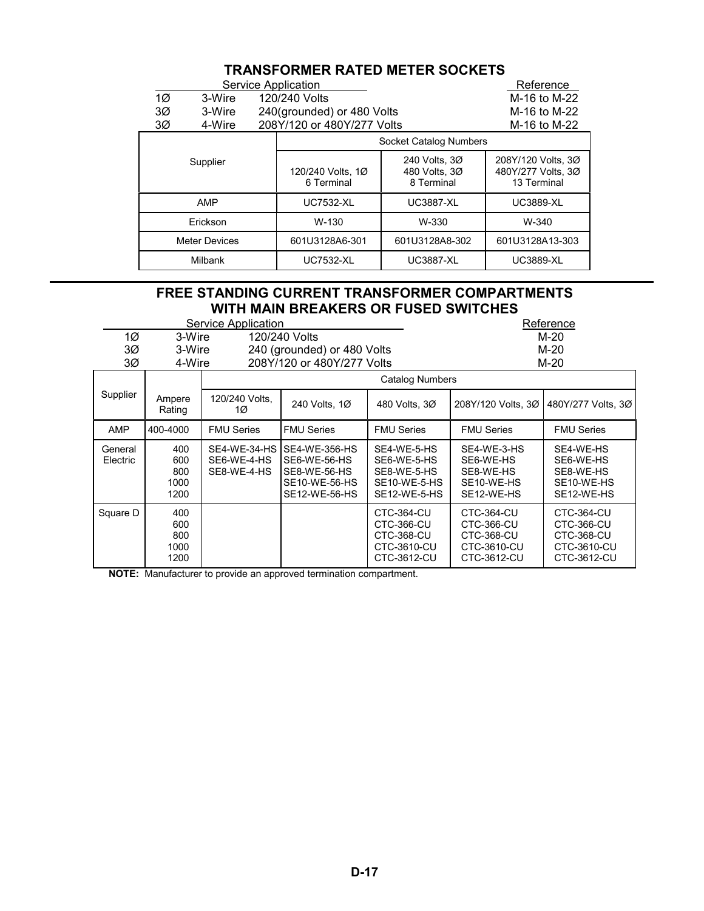# **TRANSFORMER RATED METER SOCKETS**

<span id="page-16-0"></span>

|                      |                |                | Service Application             |                                              | Reference                                               |
|----------------------|----------------|----------------|---------------------------------|----------------------------------------------|---------------------------------------------------------|
| $1\varnothing$       | 3-Wire         |                | 120/240 Volts                   |                                              | M-16 to M-22                                            |
| 3Ø                   | 3-Wire         |                | 240(grounded) or 480 Volts      |                                              | M-16 to M-22                                            |
| 3Ø                   | 4-Wire         |                | 208Y/120 or 480Y/277 Volts      |                                              | M-16 to M-22                                            |
|                      |                |                |                                 | Socket Catalog Numbers                       |                                                         |
| Supplier             |                |                | 120/240 Volts, 1Ø<br>6 Terminal | 240 Volts, 30<br>480 Volts, 3Ø<br>8 Terminal | 208Y/120 Volts, 3Ø<br>480Y/277 Volts, 3Ø<br>13 Terminal |
| AMP                  |                |                | <b>UC7532-XL</b>                | <b>UC3887-XL</b>                             | <b>UC3889-XL</b>                                        |
| Erickson             |                | W-130          | W-330                           | W-340                                        |                                                         |
| <b>Meter Devices</b> |                | 601U3128A6-301 | 601U3128A8-302                  | 601U3128A13-303                              |                                                         |
|                      | <b>Milbank</b> |                | <b>UC7532-XL</b>                | <b>UC3887-XL</b>                             | <b>UC3889-XL</b>                                        |

# **FREE STANDING CURRENT TRANSFORMER COMPARTMENTS WITH MAIN BREAKERS OR FUSED SWITCHES**

|                     | Service Application               |                            |                                                                                              |                                                                                    |                                                                                    | Reference                                                                          |
|---------------------|-----------------------------------|----------------------------|----------------------------------------------------------------------------------------------|------------------------------------------------------------------------------------|------------------------------------------------------------------------------------|------------------------------------------------------------------------------------|
| 1Ø                  | 3-Wire                            |                            | 120/240 Volts                                                                                |                                                                                    |                                                                                    | $M-20$                                                                             |
| 3Ø                  | 3-Wire                            |                            | 240 (grounded) or 480 Volts                                                                  |                                                                                    | M-20                                                                               |                                                                                    |
| 3Ø                  | 4-Wire                            |                            | 208Y/120 or 480Y/277 Volts                                                                   |                                                                                    |                                                                                    | M-20                                                                               |
|                     |                                   |                            |                                                                                              | <b>Catalog Numbers</b>                                                             |                                                                                    |                                                                                    |
| Supplier            | Ampere<br>Rating                  | 120/240 Volts.<br>1Ø       | 240 Volts, 1Ø                                                                                | 480 Volts, 30                                                                      | 208Y/120 Volts, 30                                                                 | 480Y/277 Volts, 3Ø                                                                 |
| AMP                 | 400-4000                          | <b>FMU Series</b>          | <b>FMU Series</b>                                                                            | <b>FMU Series</b>                                                                  | <b>FMU Series</b>                                                                  | <b>FMU Series</b>                                                                  |
| General<br>Electric | 400<br>600<br>800<br>1000<br>1200 | SE6-WE-4-HS<br>SE8-WE-4-HS | SE4-WE-34-HS SE4-WE-356-HS<br>SE6-WE-56-HS<br>SE8-WE-56-HS<br>SE10-WE-56-HS<br>SE12-WE-56-HS | SE4-WE-5-HS<br>SE6-WE-5-HS<br>SE8-WE-5-HS<br>SE10-WE-5-HS<br>SE12-WE-5-HS          | SE4-WE-3-HS<br>SE6-WE-HS<br>SE8-WE-HS<br>SE10-WE-HS<br>SE12-WE-HS                  | SE4-WE-HS<br>SE6-WE-HS<br>SE8-WE-HS<br>SE10-WE-HS<br>SE12-WE-HS                    |
| Square D            | 400<br>600<br>800<br>1000<br>1200 |                            |                                                                                              | <b>CTC-364-CU</b><br>CTC-366-CU<br><b>CTC-368-CU</b><br>CTC-3610-CU<br>CTC-3612-CU | <b>CTC-364-CU</b><br>CTC-366-CU<br><b>CTC-368-CU</b><br>CTC-3610-CU<br>CTC-3612-CU | <b>CTC-364-CU</b><br>CTC-366-CU<br><b>CTC-368-CU</b><br>CTC-3610-CU<br>CTC-3612-CU |

**NOTE:** Manufacturer to provide an approved termination compartment.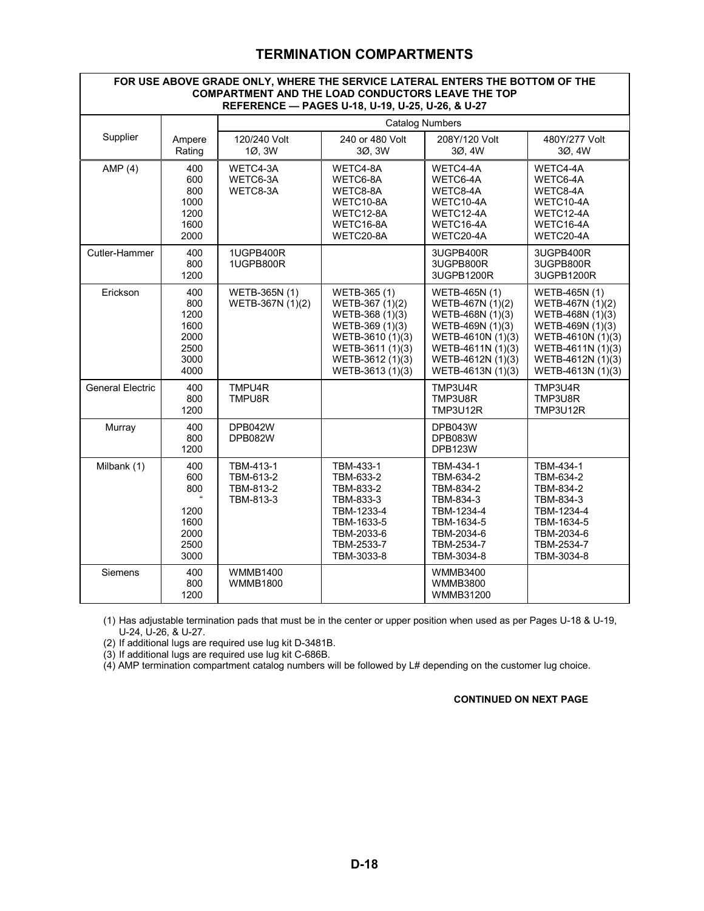# **TERMINATION COMPARTMENTS**

#### <span id="page-17-0"></span>**FOR USE ABOVE GRADE ONLY, WHERE THE SERVICE LATERAL ENTERS THE BOTTOM OF THE COMPARTMENT AND THE LOAD CONDUCTORS LEAVE THE TOP REFERENCE — PAGES U-18, U-19, U-25, U-26, & U-27**

|                         |                                                                       | <b>Catalog Numbers</b>                           |                                                                                                                                                       |                                                                                                                                                               |                                                                                                                                                               |  |
|-------------------------|-----------------------------------------------------------------------|--------------------------------------------------|-------------------------------------------------------------------------------------------------------------------------------------------------------|---------------------------------------------------------------------------------------------------------------------------------------------------------------|---------------------------------------------------------------------------------------------------------------------------------------------------------------|--|
| Supplier                | Ampere<br>Rating                                                      | 120/240 Volt<br>1Ø, 3W                           | 240 or 480 Volt<br>3Ø, 3W                                                                                                                             | 208Y/120 Volt<br>3Ø, 4W                                                                                                                                       | 480Y/277 Volt<br>3Ø, 4W                                                                                                                                       |  |
| AMP $(4)$               | 400<br>600<br>800<br>1000<br>1200<br>1600<br>2000                     | WETC4-3A<br>WETC6-3A<br>WETC8-3A                 | WETC4-8A<br>WETC6-8A<br>WETC8-8A<br>WETC10-8A<br>WETC12-8A<br>WETC16-8A<br>WETC20-8A                                                                  | WETC4-4A<br>WETC6-4A<br>WETC8-4A<br>WETC10-4A<br>WETC12-4A<br>WETC16-4A<br>WETC20-4A                                                                          | WETC4-4A<br>WETC6-4A<br>WETC8-4A<br>WETC10-4A<br>WETC12-4A<br>WETC16-4A<br>WETC20-4A                                                                          |  |
| Cutler-Hammer           | 400<br>800<br>1200                                                    | 1UGPB400R<br>1UGPB800R                           |                                                                                                                                                       | 3UGPB400R<br>3UGPB800R<br>3UGPB1200R                                                                                                                          | 3UGPB400R<br>3UGPB800R<br>3UGPB1200R                                                                                                                          |  |
| Erickson                | 400<br>800<br>1200<br>1600<br>2000<br>2500<br>3000<br>4000            | WETB-365N (1)<br>WETB-367N (1)(2)                | WETB-365 (1)<br>WETB-367 (1)(2)<br>WETB-368 (1)(3)<br>WETB-369 (1)(3)<br>WETB-3610 (1)(3)<br>WETB-3611 (1)(3)<br>WETB-3612 (1)(3)<br>WETB-3613 (1)(3) | WETB-465N (1)<br>WETB-467N (1)(2)<br>WETB-468N (1)(3)<br>WETB-469N (1)(3)<br>WETB-4610N (1)(3)<br>WETB-4611N (1)(3)<br>WETB-4612N (1)(3)<br>WETB-4613N (1)(3) | WETB-465N (1)<br>WETB-467N (1)(2)<br>WETB-468N (1)(3)<br>WETB-469N (1)(3)<br>WETB-4610N (1)(3)<br>WETB-4611N (1)(3)<br>WETB-4612N (1)(3)<br>WETB-4613N (1)(3) |  |
| <b>General Electric</b> | 400<br>800<br>1200                                                    | TMPU4R<br>TMPU8R                                 |                                                                                                                                                       | TMP3U4R<br>TMP3U8R<br>TMP3U12R                                                                                                                                | TMP3U4R<br>TMP3U8R<br>TMP3U12R                                                                                                                                |  |
| Murray                  | 400<br>800<br>1200                                                    | DPB042W<br>DPB082W                               |                                                                                                                                                       | DPB043W<br>DPB083W<br><b>DPB123W</b>                                                                                                                          |                                                                                                                                                               |  |
| Milbank (1)             | 400<br>600<br>800<br>$\alpha$<br>1200<br>1600<br>2000<br>2500<br>3000 | TBM-413-1<br>TBM-613-2<br>TBM-813-2<br>TBM-813-3 | TBM-433-1<br>TBM-633-2<br>TBM-833-2<br>TBM-833-3<br>TBM-1233-4<br>TBM-1633-5<br>TBM-2033-6<br>TBM-2533-7<br>TBM-3033-8                                | TBM-434-1<br>TBM-634-2<br>TBM-834-2<br>TBM-834-3<br>TBM-1234-4<br>TBM-1634-5<br>TBM-2034-6<br>TBM-2534-7<br>TBM-3034-8                                        | TBM-434-1<br>TBM-634-2<br>TBM-834-2<br>TBM-834-3<br>TBM-1234-4<br>TBM-1634-5<br>TBM-2034-6<br>TBM-2534-7<br>TBM-3034-8                                        |  |
| Siemens                 | 400<br>800<br>1200                                                    | <b>WMMB1400</b><br><b>WMMB1800</b>               |                                                                                                                                                       | <b>WMMB3400</b><br><b>WMMB3800</b><br><b>WMMB31200</b>                                                                                                        |                                                                                                                                                               |  |

(1) Has adjustable termination pads that must be in the center or upper position when used as per Pages U-18 & U-19, U-24, U-26, & U-27.

(2) If additional lugs are required use lug kit D-3481B.

(3) If additional lugs are required use lug kit C-686B.

(4) AMP termination compartment catalog numbers will be followed by L# depending on the customer lug choice.

#### **CONTINUED ON NEXT PAGE**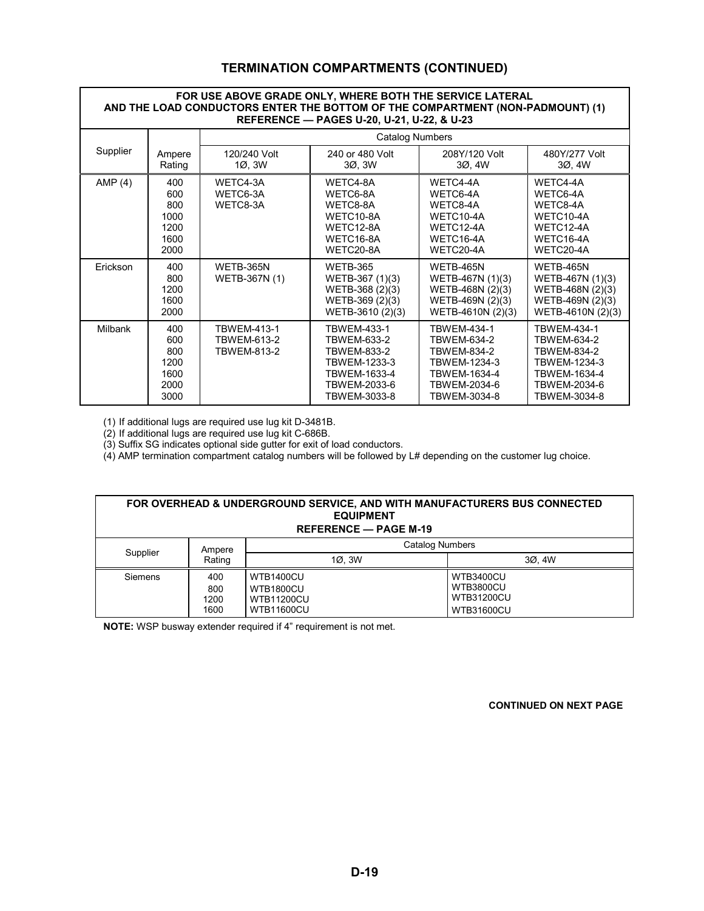#### **TERMINATION COMPARTMENTS (CONTINUED)**

#### <span id="page-18-0"></span>**FOR USE ABOVE GRADE ONLY, WHERE BOTH THE SERVICE LATERAL AND THE LOAD CONDUCTORS ENTER THE BOTTOM OF THE COMPARTMENT (NON-PADMOUNT) (1) REFERENCE — PAGES U-20, U-21, U-22, & U-23**

| NLI LNLNUL — ГАОLУ 0-20, 0-21, 0-22, & 0-23 |                                                   |                                                                |                                                                                                                  |                                                                                                           |                                                                                                                  |
|---------------------------------------------|---------------------------------------------------|----------------------------------------------------------------|------------------------------------------------------------------------------------------------------------------|-----------------------------------------------------------------------------------------------------------|------------------------------------------------------------------------------------------------------------------|
|                                             |                                                   |                                                                | <b>Catalog Numbers</b>                                                                                           |                                                                                                           |                                                                                                                  |
| Supplier                                    | Ampere<br>Rating                                  | 120/240 Volt<br>10, 3W                                         | 240 or 480 Volt<br>30, 3W                                                                                        | 208Y/120 Volt<br>30, 4W                                                                                   | 480Y/277 Volt<br>30, 4W                                                                                          |
| AMP $(4)$                                   | 400<br>600<br>800<br>1000<br>1200<br>1600<br>2000 | WETC4-3A<br>WETC6-3A<br>WETC8-3A                               | WETC4-8A<br>WETC6-8A<br>WETC8-8A<br>WETC10-8A<br>WETC12-8A<br>WETC16-8A<br>WETC20-8A                             | WETC4-4A<br>WETC6-4A<br>WETC8-4A<br>WETC10-4A<br>WETC12-4A<br>WETC16-4A<br>WETC20-4A                      | WETC4-4A<br>WETC6-4A<br>WETC8-4A<br>WETC10-4A<br>WETC12-4A<br>WETC16-4A<br>WETC20-4A                             |
| Erickson                                    | 400<br>800<br>1200<br>1600<br>2000                | WETB-365N<br>WETB-367N (1)                                     | <b>WETB-365</b><br>WETB-367 (1)(3)<br>WETB-368 (2)(3)<br>WETB-369 (2)(3)<br>WETB-3610 (2)(3)                     | <b>WETB-465N</b><br>WETB-467N (1)(3)<br>WETB-468N (2)(3)<br>WETB-469N (2)(3)<br>WETB-4610N (2)(3)         | WETB-465N<br>WETB-467N (1)(3)<br>WETB-468N (2)(3)<br>WETB-469N (2)(3)<br>WETB-4610N (2)(3)                       |
| <b>Milbank</b>                              | 400<br>600<br>800<br>1200<br>1600<br>2000<br>3000 | <b>TBWEM-413-1</b><br><b>TBWEM-613-2</b><br><b>TBWEM-813-2</b> | <b>TBWEM-433-1</b><br>TBWEM-633-2<br>TBWEM-833-2<br>TBWEM-1233-3<br>TBWEM-1633-4<br>TBWEM-2033-6<br>TBWEM-3033-8 | TBWEM-434-1<br>TBWEM-634-2<br>TBWEM-834-2<br>TBWEM-1234-3<br>TBWEM-1634-4<br>TBWEM-2034-6<br>TBWEM-3034-8 | TBWEM-434-1<br><b>TBWEM-634-2</b><br>TBWEM-834-2<br>TBWEM-1234-3<br>TBWEM-1634-4<br>TBWEM-2034-6<br>TBWEM-3034-8 |

(1) If additional lugs are required use lug kit D-3481B.

(2) If additional lugs are required use lug kit C-686B.

(3) Suffix SG indicates optional side gutter for exit of load conductors.

 $(4)$  AMP termination compartment catalog numbers will be followed by L# depending on the customer lug choice.

| FOR OVERHEAD & UNDERGROUND SERVICE, AND WITH MANUFACTURERS BUS CONNECTED<br><b>EQUIPMENT</b><br><b>REFERENCE — PAGE M-19</b> |                            |                                                                                |                                                                                |  |  |  |
|------------------------------------------------------------------------------------------------------------------------------|----------------------------|--------------------------------------------------------------------------------|--------------------------------------------------------------------------------|--|--|--|
| Supplier                                                                                                                     | Ampere                     |                                                                                | <b>Catalog Numbers</b>                                                         |  |  |  |
|                                                                                                                              | Rating                     | 10.3W                                                                          | 3Ø. 4W                                                                         |  |  |  |
| Siemens                                                                                                                      | 400<br>800<br>1200<br>1600 | <b>WTB1400CU</b><br><b>WTB1800CU</b><br><b>WTB11200CU</b><br><b>WTB11600CU</b> | <b>WTB3400CU</b><br><b>WTB3800CU</b><br><b>WTB31200CU</b><br><b>WTB31600CU</b> |  |  |  |

**NOTE:** WSP busway extender required if 4" requirement is not met.

 **CONTINUED ON NEXT PAGE**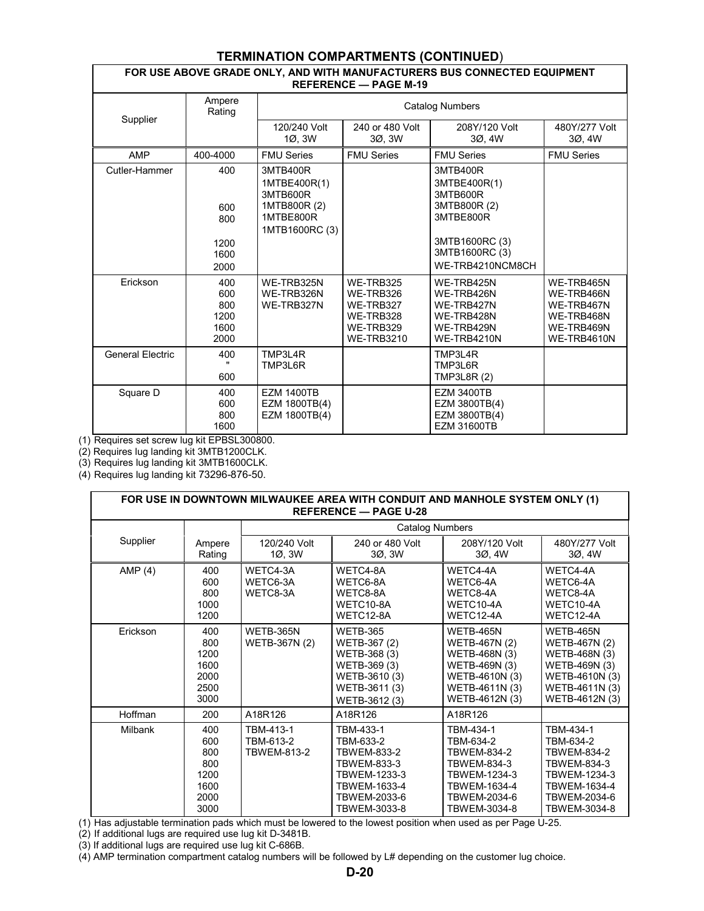#### **TERMINATION COMPARTMENTS (CONTINUED**)

#### **FOR USE ABOVE GRADE ONLY, AND WITH MANUFACTURERS BUS CONNECTED EQUIPMENT REFERENCE — PAGE M-19**

<span id="page-19-0"></span>

| Supplier                | Ampere<br>Rating                          | <b>Catalog Numbers</b>                                                              |                                                                                    |                                                                                                       |                                                                                   |  |
|-------------------------|-------------------------------------------|-------------------------------------------------------------------------------------|------------------------------------------------------------------------------------|-------------------------------------------------------------------------------------------------------|-----------------------------------------------------------------------------------|--|
|                         |                                           | 120/240 Volt<br>1Ø. 3W                                                              | 240 or 480 Volt<br>3Ø. 3W                                                          | 208Y/120 Volt<br>3Ø.4W                                                                                | 480Y/277 Volt<br>30.4W                                                            |  |
| <b>AMP</b>              | 400-4000                                  | <b>FMU Series</b>                                                                   | <b>FMU Series</b>                                                                  | <b>FMU Series</b>                                                                                     | <b>FMU Series</b>                                                                 |  |
| Cutler-Hammer           | 400<br>600<br>800<br>1200<br>1600         | 3MTB400R<br>1MTBE400R(1)<br>3MTB600R<br>1MTB800R (2)<br>1MTBE800R<br>1MTB1600RC (3) |                                                                                    | 3MTB400R<br>3MTBE400R(1)<br>3MTB600R<br>3MTB800R (2)<br>3MTBE800R<br>3MTB1600RC (3)<br>3MTB1600RC (3) |                                                                                   |  |
|                         | 2000                                      |                                                                                     |                                                                                    | WE-TRB4210NCM8CH                                                                                      |                                                                                   |  |
| Erickson                | 400<br>600<br>800<br>1200<br>1600<br>2000 | WE-TRB325N<br>WE-TRB326N<br>WE-TRB327N                                              | WE-TRB325<br>WE-TRB326<br>WE-TRB327<br>WE-TRB328<br>WE-TRB329<br><b>WE-TRB3210</b> | WE-TRB425N<br>WE-TRB426N<br>WE-TRB427N<br>WE-TRB428N<br>WE-TRB429N<br>WE-TRB4210N                     | WE-TRB465N<br>WE-TRB466N<br>WE-TRB467N<br>WE-TRB468N<br>WE-TRB469N<br>WE-TRB4610N |  |
| <b>General Electric</b> | 400<br>600                                | TMP3L4R<br>TMP3L6R                                                                  |                                                                                    | TMP3L4R<br>TMP3L6R<br>TMP3L8R (2)                                                                     |                                                                                   |  |
| Square D                | 400<br>600<br>800<br>1600                 | <b>EZM 1400TB</b><br>EZM 1800TB(4)<br>EZM 1800TB(4)                                 |                                                                                    | <b>EZM 3400TB</b><br>EZM 3800TB(4)<br>EZM 3800TB(4)<br><b>EZM 31600TB</b>                             |                                                                                   |  |

(1) Requires set screw lug kit EPBSL300800.

(2) Requires lug landing kit 3MTB1200CLK.

(3) Requires lug landing kit 3MTB1600CLK.

(4) Requires lug landing kit 73296-876-50.

| FOR USE IN DOWNTOWN MILWAUKEE AREA WITH CONDUIT AND MANHOLE SYSTEM ONLY (1)<br><b>REFERENCE - PAGE U-28</b> |                                                          |                                              |                                                                                                                                    |                                                                                                                             |                                                                                                                                    |
|-------------------------------------------------------------------------------------------------------------|----------------------------------------------------------|----------------------------------------------|------------------------------------------------------------------------------------------------------------------------------------|-----------------------------------------------------------------------------------------------------------------------------|------------------------------------------------------------------------------------------------------------------------------------|
|                                                                                                             |                                                          |                                              | <b>Catalog Numbers</b>                                                                                                             |                                                                                                                             |                                                                                                                                    |
| Supplier                                                                                                    | Ampere<br>Rating                                         | 120/240 Volt<br>1Ø, 3W                       | 240 or 480 Volt<br>30, 3W                                                                                                          | 208Y/120 Volt<br>30, 4W                                                                                                     | 480Y/277 Volt<br>3Ø, 4W                                                                                                            |
| AMP $(4)$                                                                                                   | 400<br>600<br>800<br>1000<br>1200                        | WETC4-3A<br>WETC6-3A<br>WETC8-3A             | WETC4-8A<br>WETC6-8A<br>WETC8-8A<br>WETC10-8A<br>WETC12-8A                                                                         | WETC4-4A<br>WETC6-4A<br>WETC8-4A<br>WETC10-4A<br>WETC12-4A                                                                  | WETC4-4A<br>WETC6-4A<br>WETC8-4A<br>WETC10-4A<br>WETC12-4A                                                                         |
| Erickson                                                                                                    | 400<br>800<br>1200<br>1600<br>2000<br>2500<br>3000       | WETB-365N<br>WETB-367N (2)                   | <b>WETB-365</b><br>WETB-367 (2)<br>WETB-368 (3)<br>WETB-369 (3)<br>WETB-3610 (3)<br>WETB-3611 (3)<br>WETB-3612 (3)                 | <b>WETB-465N</b><br>WETB-467N (2)<br>WETB-468N (3)<br>WETB-469N (3)<br>WETB-4610N (3)<br>WETB-4611N (3)<br>WETB-4612N (3)   | <b>WETB-465N</b><br>WETB-467N (2)<br>WETB-468N (3)<br>WETB-469N (3)<br>WETB-4610N (3)<br>WETB-4611N (3)<br>WETB-4612N (3)          |
| Hoffman                                                                                                     | 200                                                      | A18R126                                      | A18R126                                                                                                                            | A18R126                                                                                                                     |                                                                                                                                    |
| Milbank                                                                                                     | 400<br>600<br>800<br>800<br>1200<br>1600<br>2000<br>3000 | TBM-413-1<br>TBM-613-2<br><b>TBWEM-813-2</b> | TBM-433-1<br>TBM-633-2<br><b>TBWEM-833-2</b><br><b>TBWEM-833-3</b><br>TBWEM-1233-3<br>TBWEM-1633-4<br>TBWEM-2033-6<br>TBWEM-3033-8 | TBM-434-1<br>TBM-634-2<br><b>TBWEM-834-2</b><br>TBWEM-834-3<br>TBWEM-1234-3<br>TBWEM-1634-4<br>TBWEM-2034-6<br>TBWEM-3034-8 | TBM-434-1<br>TBM-634-2<br><b>TBWEM-834-2</b><br><b>TBWEM-834-3</b><br>TBWEM-1234-3<br>TBWEM-1634-4<br>TBWEM-2034-6<br>TBWEM-3034-8 |

(1) Has adjustable termination pads which must be lowered to the lowest position when used as per Page U-25.

(2) If additional lugs are required use lug kit D-3481B.

(3) If additional lugs are required use lug kit C-686B.

(4) AMP termination compartment catalog numbers will be followed by L# depending on the customer lug choice.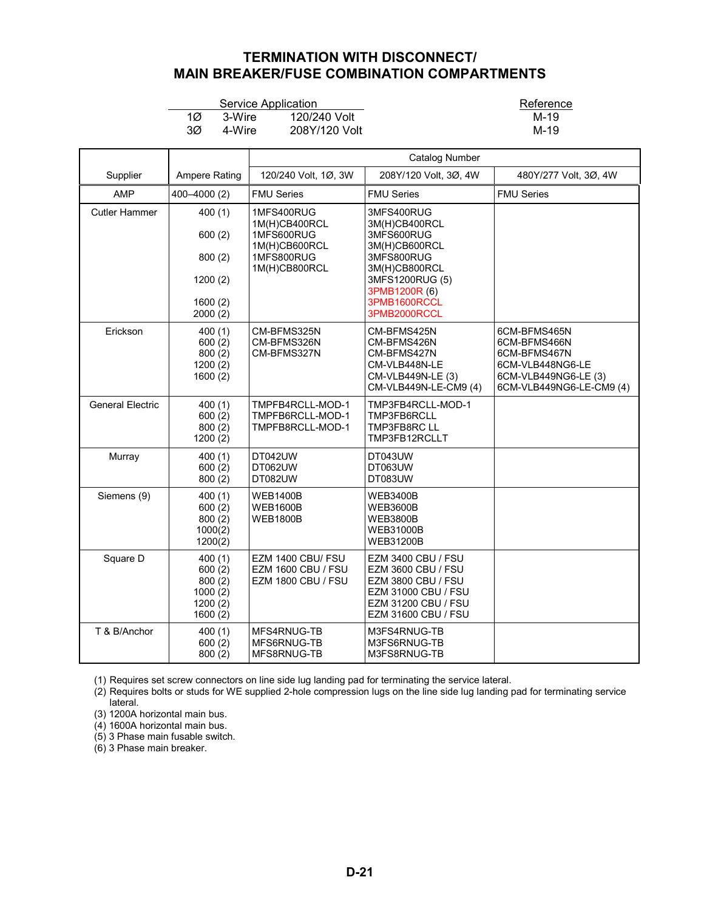## **TERMINATION WITH DISCONNECT/ MAIN BREAKER/FUSE COMBINATION COMPARTMENTS**

|    |        | Service Application | Referen |
|----|--------|---------------------|---------|
| 1Ø | 3-Wire | 120/240 Volt        | M-19    |
| ЗØ | 4-Wire | 208Y/120 Volt       | M-19    |

Experience Application Reference<br>Service Application Reference<br>N-19

<span id="page-20-0"></span>

|                         |                                                             | <b>Catalog Number</b>                                                                     |                                                                                                                                                               |                                                                                                                      |  |
|-------------------------|-------------------------------------------------------------|-------------------------------------------------------------------------------------------|---------------------------------------------------------------------------------------------------------------------------------------------------------------|----------------------------------------------------------------------------------------------------------------------|--|
| Supplier                | <b>Ampere Rating</b>                                        | 120/240 Volt, 1Ø, 3W                                                                      | 208Y/120 Volt, 3Ø, 4W                                                                                                                                         | 480Y/277 Volt, 3Ø, 4W                                                                                                |  |
| AMP                     | 400-4000 (2)                                                | <b>FMU Series</b>                                                                         | <b>FMU Series</b>                                                                                                                                             | <b>FMU Series</b>                                                                                                    |  |
| <b>Cutler Hammer</b>    | 400(1)<br>600(2)<br>800(2)<br>1200(2)<br>1600(2)<br>2000(2) | 1MFS400RUG<br>1M(H)CB400RCL<br>1MFS600RUG<br>1M(H)CB600RCL<br>1MFS800RUG<br>1M(H)CB800RCL | 3MFS400RUG<br>3M(H)CB400RCL<br>3MFS600RUG<br>3M(H)CB600RCL<br>3MFS800RUG<br>3M(H)CB800RCL<br>3MFS1200RUG (5)<br>3PMB1200R (6)<br>3PMB1600RCCL<br>3PMB2000RCCL |                                                                                                                      |  |
| Erickson                | 400(1)<br>600(2)<br>800(2)<br>1200(2)<br>1600(2)            | CM-BFMS325N<br>CM-BFMS326N<br>CM-BFMS327N                                                 | CM-BFMS425N<br>CM-BFMS426N<br>CM-BFMS427N<br>CM-VLB448N-LE<br>CM-VLB449N-LE (3)<br>CM-VLB449N-LE-CM9 (4)                                                      | 6CM-BFMS465N<br>6CM-BFMS466N<br>6CM-BFMS467N<br>6CM-VLB448NG6-LE<br>6CM-VLB449NG6-LE (3)<br>6CM-VLB449NG6-LE-CM9 (4) |  |
| <b>General Electric</b> | 400(1)<br>600(2)<br>800(2)<br>1200(2)                       | TMPFB4RCLL-MOD-1<br>TMPFB6RCLL-MOD-1<br>TMPFB8RCLL-MOD-1                                  | TMP3FB4RCLL-MOD-1<br>TMP3FB6RCLL<br>TMP3FB8RC LL<br>TMP3FB12RCLLT                                                                                             |                                                                                                                      |  |
| Murray                  | 400(1)<br>600(2)<br>800(2)                                  | DT042UW<br>DT062UW<br>DT082UW                                                             | DT043UW<br>DT063UW<br>DT083UW                                                                                                                                 |                                                                                                                      |  |
| Siemens (9)             | 400(1)<br>600(2)<br>800(2)<br>1000(2)<br>1200(2)            | <b>WEB1400B</b><br><b>WEB1600B</b><br><b>WEB1800B</b>                                     | <b>WEB3400B</b><br><b>WEB3600B</b><br>WEB3800B<br><b>WEB31000B</b><br>WEB31200B                                                                               |                                                                                                                      |  |
| Square D                | 400(1)<br>600(2)<br>800(2)<br>1000(2)<br>1200(2)<br>1600(2) | EZM 1400 CBU/ FSU<br><b>EZM 1600 CBU / FSU</b><br><b>EZM 1800 CBU / FSU</b>               | <b>EZM 3400 CBU / FSU</b><br>EZM 3600 CBU / FSU<br><b>EZM 3800 CBU / FSU</b><br><b>EZM 31000 CBU / FSU</b><br>EZM 31200 CBU / FSU<br>EZM 31600 CBU / FSU      |                                                                                                                      |  |
| T & B/Anchor            | 400(1)<br>600(2)<br>800(2)                                  | MFS4RNUG-TB<br>MFS6RNUG-TB<br>MFS8RNUG-TB                                                 | M3FS4RNUG-TB<br>M3FS6RNUG-TB<br>M3FS8RNUG-TB                                                                                                                  |                                                                                                                      |  |

(1) Requires set screw connectors on line side lug landing pad for terminating the service lateral.

(2) Requires bolts or studs for WE supplied 2-hole compression lugs on the line side lug landing pad for terminating service lateral.

(3) 1200A horizontal main bus.

(4) 1600A horizontal main bus.

(5) 3 Phase main fusable switch.

(6) 3 Phase main breaker.